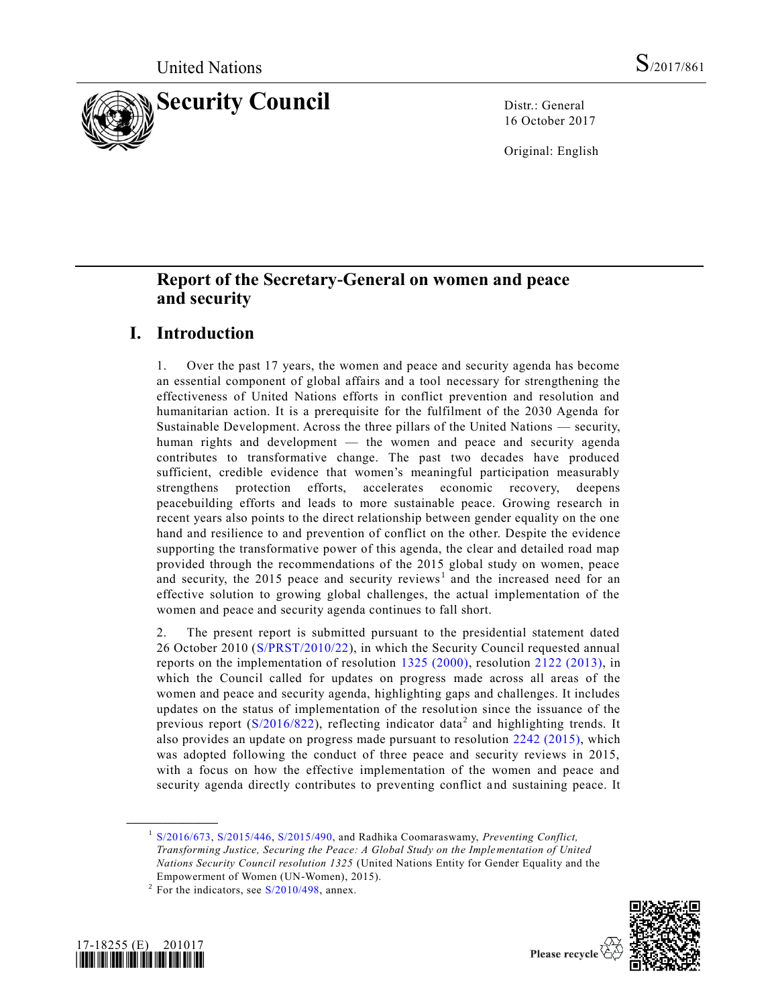

16 October 2017

Original: English

# **Report of the Secretary-General on women and peace and security**

# **I. Introduction**

1. Over the past 17 years, the women and peace and security agenda has become an essential component of global affairs and a tool necessary for strengthening the effectiveness of United Nations efforts in conflict prevention and resolution and humanitarian action. It is a prerequisite for the fulfilment of the 2030 Agenda for Sustainable Development. Across the three pillars of the United Nations — security, human rights and development — the women and peace and security agenda contributes to transformative change. The past two decades have produced sufficient, credible evidence that women's meaningful participation measurably strengthens protection efforts, accelerates economic recovery, deepens peacebuilding efforts and leads to more sustainable peace. Growing research in recent years also points to the direct relationship between gender equality on the one hand and resilience to and prevention of conflict on the other. Despite the evidence supporting the transformative power of this agenda, the clear and detailed road map provided through the recommendations of the 2015 global study on women, peace and security, the 2015 peace and security reviews<sup>1</sup> and the increased need for an effective solution to growing global challenges, the actual implementation of the women and peace and security agenda continues to fall short.

2. The present report is submitted pursuant to the presidential statement dated 26 October 2010 [\(S/PRST/2010/22\)](https://undocs.org/S/PRST/2010/22), in which the Security Council requested annual reports on the implementation of resolution [1325 \(2000\),](https://undocs.org/S/RES/1325(2000)) resolution [2122 \(2013\),](https://undocs.org/S/RES/2122(2013)) in which the Council called for updates on progress made across all areas of the women and peace and security agenda, highlighting gaps and challenges. It includes updates on the status of implementation of the resolution since the issuance of the previous report ( $S/2016/822$ ), reflecting indicator data<sup>2</sup> and highlighting trends. It also provides an update on progress made pursuant to resolution [2242 \(2015\),](https://undocs.org/S/RES/2242(2015)) which was adopted following the conduct of three peace and security reviews in 2015, with a focus on how the effective implementation of the women and peace and security agenda directly contributes to preventing conflict and sustaining peace. It

<sup>&</sup>lt;sup>2</sup> For the indicators, see  $S/2010/498$ , annex.





<sup>&</sup>lt;sup>1</sup> [S/2016/673,](https://undocs.org/S/2016/673) [S/2015/446,](https://undocs.org/S/2015/446) [S/2015/490,](https://undocs.org/S/2015/490) and Radhika Coomaraswamy, *Preventing Conflict*, *Transforming Justice, Securing the Peace: A Global Study on the Implementation of United Nations Security Council resolution 1325* (United Nations Entity for Gender Equality and the Empowerment of Women (UN-Women), 2015).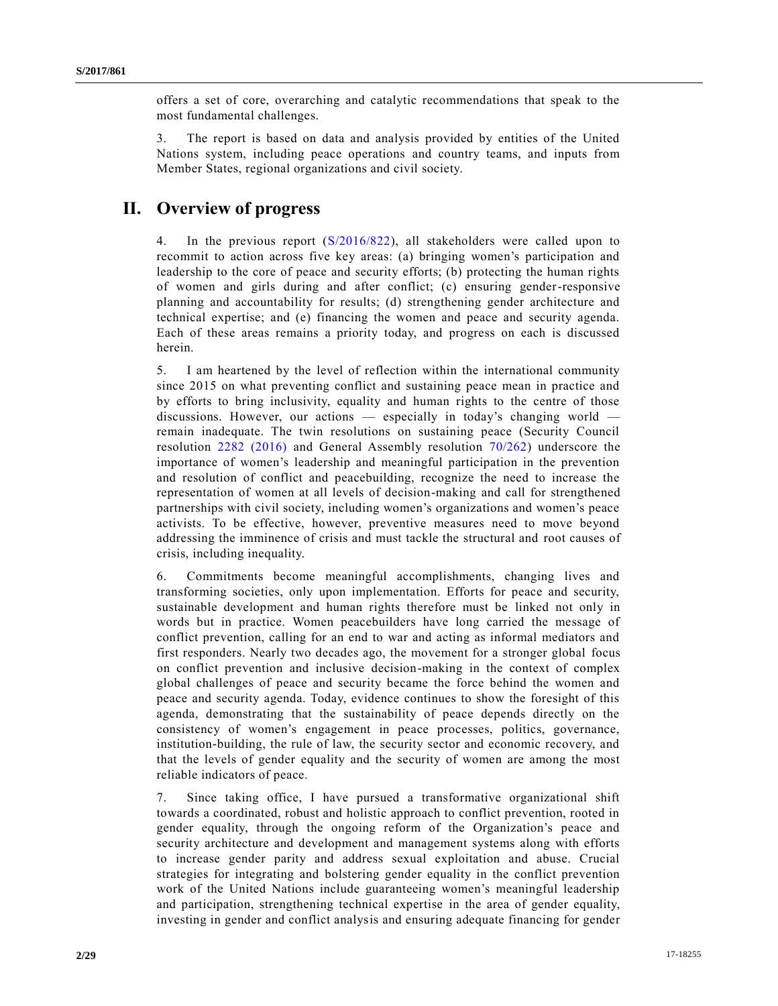offers a set of core, overarching and catalytic recommendations that speak to the most fundamental challenges.

3. The report is based on data and analysis provided by entities of the United Nations system, including peace operations and country teams, and inputs from Member States, regional organizations and civil society.

# **II. Overview of progress**

4. In the previous report [\(S/2016/822\)](https://undocs.org/S/2016/822), all stakeholders were called upon to recommit to action across five key areas: (a) bringing women's participation and leadership to the core of peace and security efforts; (b) protecting the human rights of women and girls during and after conflict; (c) ensuring gender-responsive planning and accountability for results; (d) strengthening gender architecture and technical expertise; and (e) financing the women and peace and security agenda. Each of these areas remains a priority today, and progress on each is discussed herein.

5. I am heartened by the level of reflection within the international community since 2015 on what preventing conflict and sustaining peace mean in practice and by efforts to bring inclusivity, equality and human rights to the centre of those discussions. However, our actions — especially in today's changing world remain inadequate. The twin resolutions on sustaining peace (Security Council resolution [2282 \(2016\)](https://undocs.org/S/RES/2282(2016)) and General Assembly resolution [70/262\)](https://undocs.org/A/RES/70/262) underscore the importance of women's leadership and meaningful participation in the prevention and resolution of conflict and peacebuilding, recognize the need to increase the representation of women at all levels of decision-making and call for strengthened partnerships with civil society, including women's organizations and women's peace activists. To be effective, however, preventive measures need to move beyond addressing the imminence of crisis and must tackle the structural and root causes of crisis, including inequality.

6. Commitments become meaningful accomplishments, changing lives and transforming societies, only upon implementation. Efforts for peace and security, sustainable development and human rights therefore must be linked not only in words but in practice. Women peacebuilders have long carried the message of conflict prevention, calling for an end to war and acting as informal mediators and first responders. Nearly two decades ago, the movement for a stronger global focus on conflict prevention and inclusive decision-making in the context of complex global challenges of peace and security became the force behind the women and peace and security agenda. Today, evidence continues to show the foresight of this agenda, demonstrating that the sustainability of peace depends directly on the consistency of women's engagement in peace processes, politics, governance, institution-building, the rule of law, the security sector and economic recovery, and that the levels of gender equality and the security of women are among the most reliable indicators of peace.

7. Since taking office, I have pursued a transformative organizational shift towards a coordinated, robust and holistic approach to conflict prevention, rooted in gender equality, through the ongoing reform of the Organization's peace and security architecture and development and management systems along with efforts to increase gender parity and address sexual exploitation and abuse. Crucial strategies for integrating and bolstering gender equality in the conflict prevention work of the United Nations include guaranteeing women's meaningful leadership and participation, strengthening technical expertise in the area of gender equality, investing in gender and conflict analysis and ensuring adequate financing for gender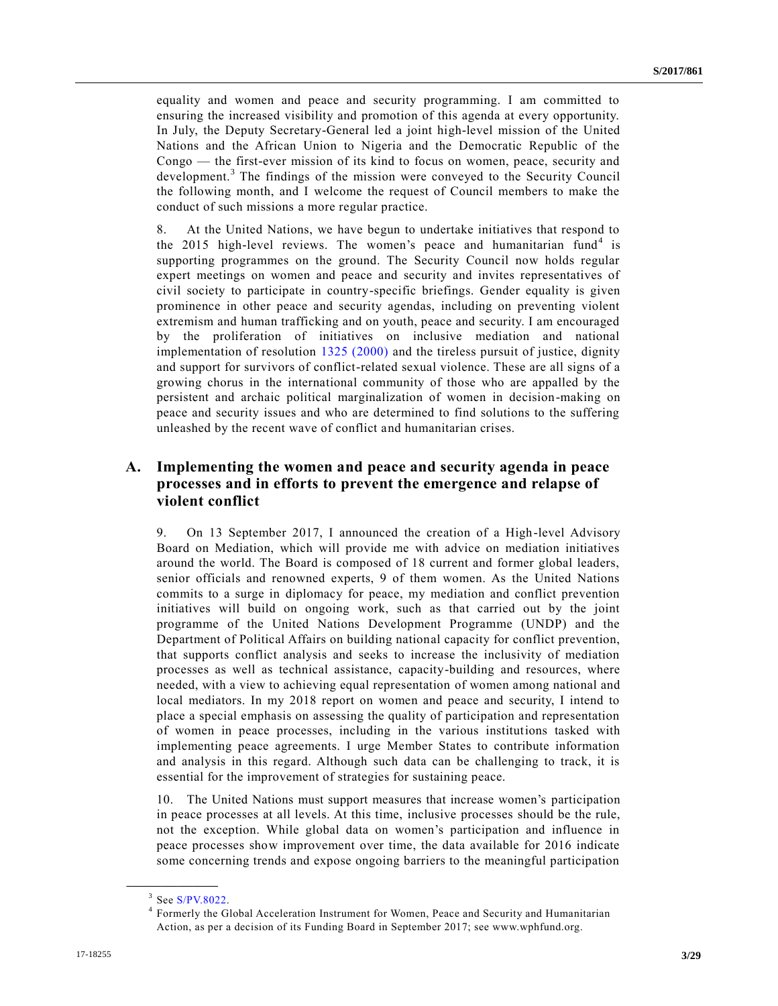equality and women and peace and security programming. I am committed to ensuring the increased visibility and promotion of this agenda at every opportunity. In July, the Deputy Secretary-General led a joint high-level mission of the United Nations and the African Union to Nigeria and the Democratic Republic of the Congo — the first-ever mission of its kind to focus on women, peace, security and development.<sup>3</sup> The findings of the mission were conveyed to the Security Council the following month, and I welcome the request of Council members to make the conduct of such missions a more regular practice.

8. At the United Nations, we have begun to undertake initiatives that respond to the 2015 high-level reviews. The women's peace and humanitarian fund<sup>4</sup> is supporting programmes on the ground. The Security Council now holds regular expert meetings on women and peace and security and invites representatives of civil society to participate in country-specific briefings. Gender equality is given prominence in other peace and security agendas, including on preventing violent extremism and human trafficking and on youth, peace and security. I am encouraged by the proliferation of initiatives on inclusive mediation and national implementation of resolution [1325 \(2000\)](https://undocs.org/S/RES/1325(2000)) and the tireless pursuit of justice, dignity and support for survivors of conflict-related sexual violence. These are all signs of a growing chorus in the international community of those who are appalled by the persistent and archaic political marginalization of women in decision-making on peace and security issues and who are determined to find solutions to the suffering unleashed by the recent wave of conflict and humanitarian crises.

## **A. Implementing the women and peace and security agenda in peace processes and in efforts to prevent the emergence and relapse of violent conflict**

9. On 13 September 2017, I announced the creation of a High-level Advisory Board on Mediation, which will provide me with advice on mediation initiatives around the world. The Board is composed of 18 current and former global leaders, senior officials and renowned experts, 9 of them women. As the United Nations commits to a surge in diplomacy for peace, my mediation and conflict prevention initiatives will build on ongoing work, such as that carried out by the joint programme of the United Nations Development Programme (UNDP) and the Department of Political Affairs on building national capacity for conflict prevention, that supports conflict analysis and seeks to increase the inclusivity of mediation processes as well as technical assistance, capacity-building and resources, where needed, with a view to achieving equal representation of women among national and local mediators. In my 2018 report on women and peace and security, I intend to place a special emphasis on assessing the quality of participation and representation of women in peace processes, including in the various institutions tasked with implementing peace agreements. I urge Member States to contribute information and analysis in this regard. Although such data can be challenging to track, it is essential for the improvement of strategies for sustaining peace.

10. The United Nations must support measures that increase women's participation in peace processes at all levels. At this time, inclusive processes should be the rule, not the exception. While global data on women's participation and influence in peace processes show improvement over time, the data available for 2016 indicate some concerning trends and expose ongoing barriers to the meaningful participation

 $3$  See [S/PV.8022.](https://undocs.org/S/PV.8022)

<sup>4</sup> Formerly the Global Acceleration Instrument for Women, Peace and Security and Humanitarian Action, as per a decision of its Funding Board in September 2017; see www.wphfund.org.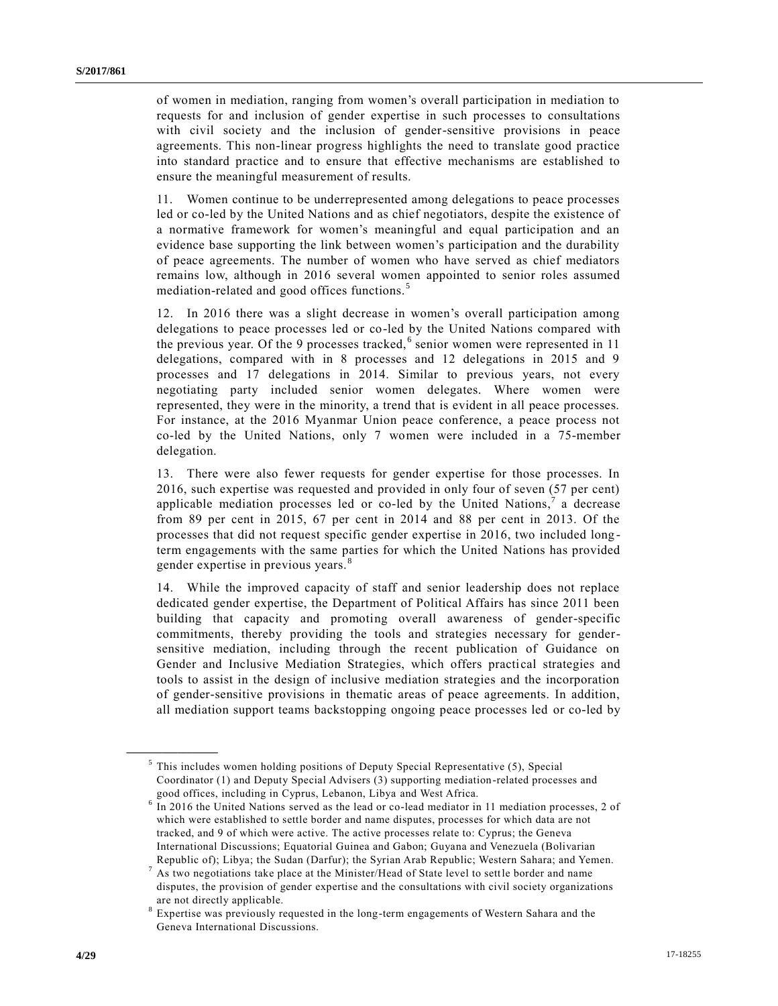of women in mediation, ranging from women's overall participation in mediation to requests for and inclusion of gender expertise in such processes to consultations with civil society and the inclusion of gender-sensitive provisions in peace agreements. This non-linear progress highlights the need to translate good practice into standard practice and to ensure that effective mechanisms are established to ensure the meaningful measurement of results.

11. Women continue to be underrepresented among delegations to peace processes led or co-led by the United Nations and as chief negotiators, despite the existence of a normative framework for women's meaningful and equal participation and an evidence base supporting the link between women's participation and the durability of peace agreements. The number of women who have served as chief mediators remains low, although in 2016 several women appointed to senior roles assumed mediation-related and good offices functions.<sup>5</sup>

12. In 2016 there was a slight decrease in women's overall participation among delegations to peace processes led or co-led by the United Nations compared with the previous year. Of the 9 processes tracked,<sup>6</sup> senior women were represented in 11 delegations, compared with in 8 processes and 12 delegations in 2015 and 9 processes and 17 delegations in 2014. Similar to previous years, not every negotiating party included senior women delegates. Where women were represented, they were in the minority, a trend that is evident in all peace processes. For instance, at the 2016 Myanmar Union peace conference, a peace process not co-led by the United Nations, only 7 women were included in a 75-member delegation.

13. There were also fewer requests for gender expertise for those processes. In 2016, such expertise was requested and provided in only four of seven (57 per cent) applicable mediation processes led or co-led by the United Nations,  $\overline{a}$  a decrease from 89 per cent in 2015, 67 per cent in 2014 and 88 per cent in 2013. Of the processes that did not request specific gender expertise in 2016, two included long term engagements with the same parties for which the United Nations has provided gender expertise in previous years.<sup>8</sup>

14. While the improved capacity of staff and senior leadership does not replace dedicated gender expertise, the Department of Political Affairs has since 2011 been building that capacity and promoting overall awareness of gender-specific commitments, thereby providing the tools and strategies necessary for gendersensitive mediation, including through the recent publication of Guidance on Gender and Inclusive Mediation Strategies, which offers practical strategies and tools to assist in the design of inclusive mediation strategies and the incorporation of gender-sensitive provisions in thematic areas of peace agreements. In addition, all mediation support teams backstopping ongoing peace processes led or co-led by

<sup>&</sup>lt;sup>5</sup> This includes women holding positions of Deputy Special Representative (5), Special Coordinator (1) and Deputy Special Advisers (3) supporting mediation-related processes and good offices, including in Cyprus, Lebanon, Libya and West Africa.

<sup>6</sup> In 2016 the United Nations served as the lead or co-lead mediator in 11 mediation processes, 2 of which were established to settle border and name disputes, processes for which data are not tracked, and 9 of which were active. The active processes relate to: Cyprus; the Geneva International Discussions; Equatorial Guinea and Gabon; Guyana and Venezuela (Bolivarian Republic of); Libya; the Sudan (Darfur); the Syrian Arab Republic; Western Sahara; and Yemen.

 $7$  As two negotiations take place at the Minister/Head of State level to settle border and name disputes, the provision of gender expertise and the consultations with civil society organizations are not directly applicable.

<sup>&</sup>lt;sup>8</sup> Expertise was previously requested in the long-term engagements of Western Sahara and the Geneva International Discussions.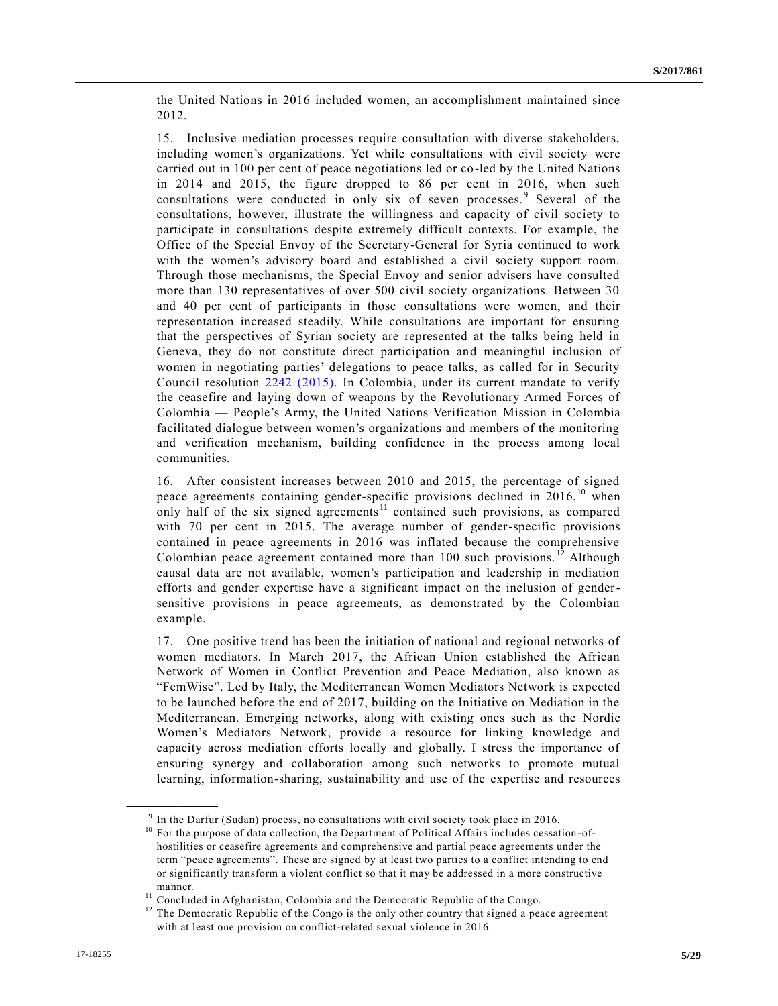the United Nations in 2016 included women, an accomplishment maintained since 2012.

15. Inclusive mediation processes require consultation with diverse stakeholders, including women's organizations. Yet while consultations with civil society were carried out in 100 per cent of peace negotiations led or co-led by the United Nations in 2014 and 2015, the figure dropped to 86 per cent in 2016, when such consultations were conducted in only six of seven processes.<sup>9</sup> Several of the consultations, however, illustrate the willingness and capacity of civil society to participate in consultations despite extremely difficult contexts. For example, the Office of the Special Envoy of the Secretary-General for Syria continued to work with the women's advisory board and established a civil society support room. Through those mechanisms, the Special Envoy and senior advisers have consulted more than 130 representatives of over 500 civil society organizations. Between 30 and 40 per cent of participants in those consultations were women, and their representation increased steadily. While consultations are important for ensuring that the perspectives of Syrian society are represented at the talks being held in Geneva, they do not constitute direct participation and meaningful inclusion of women in negotiating parties' delegations to peace talks, as called for in Security Council resolution [2242 \(2015\).](https://undocs.org/S/RES/2242(2015)) In Colombia, under its current mandate to verify the ceasefire and laying down of weapons by the Revolutionary Armed Forces of Colombia — People's Army, the United Nations Verification Mission in Colombia facilitated dialogue between women's organizations and members of the monitoring and verification mechanism, building confidence in the process among local communities.

16. After consistent increases between 2010 and 2015, the percentage of signed peace agreements containing gender-specific provisions declined in  $2016$ ,<sup>10</sup> when only half of the six signed agreements<sup>11</sup> contained such provisions, as compared with 70 per cent in 2015. The average number of gender-specific provisions contained in peace agreements in 2016 was inflated because the comprehensive Colombian peace agreement contained more than 100 such provisions.<sup>12</sup> Although causal data are not available, women's participation and leadership in mediation efforts and gender expertise have a significant impact on the inclusion of gendersensitive provisions in peace agreements, as demonstrated by the Colombian example.

17. One positive trend has been the initiation of national and regional networks of women mediators. In March 2017, the African Union established the African Network of Women in Conflict Prevention and Peace Mediation, also known as "FemWise". Led by Italy, the Mediterranean Women Mediators Network is expected to be launched before the end of 2017, building on the Initiative on Mediation in the Mediterranean. Emerging networks, along with existing ones such as the Nordic Women's Mediators Network, provide a resource for linking knowledge and capacity across mediation efforts locally and globally. I stress the importance of ensuring synergy and collaboration among such networks to promote mutual learning, information-sharing, sustainability and use of the expertise and resources

 $9$  In the Darfur (Sudan) process, no consultations with civil society took place in 2016.

<sup>&</sup>lt;sup>10</sup> For the purpose of data collection, the Department of Political Affairs includes cessation-ofhostilities or ceasefire agreements and comprehensive and partial peace agreements under the term "peace agreements". These are signed by at least two parties to a conflict intending to end or significantly transform a violent conflict so that it may be addressed in a more constructive manner.

<sup>&</sup>lt;sup>11</sup> Concluded in Afghanistan, Colombia and the Democratic Republic of the Congo.

<sup>&</sup>lt;sup>12</sup> The Democratic Republic of the Congo is the only other country that signed a peace agreement with at least one provision on conflict-related sexual violence in 2016.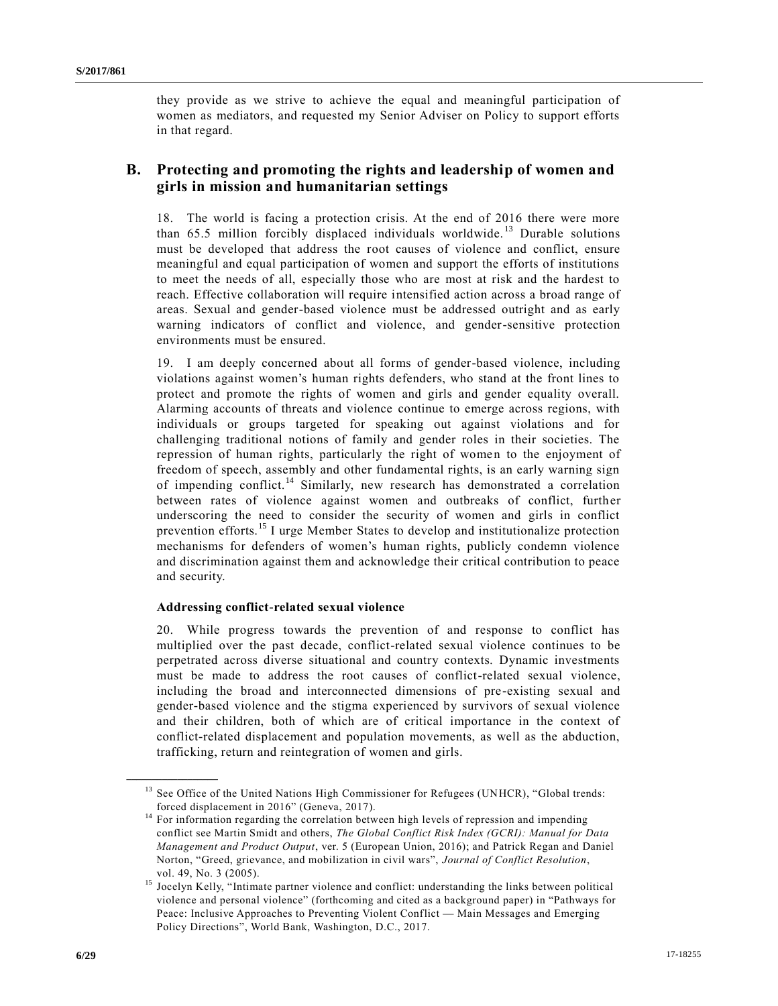they provide as we strive to achieve the equal and meaningful participation of women as mediators, and requested my Senior Adviser on Policy to support efforts in that regard.

## **B. Protecting and promoting the rights and leadership of women and girls in mission and humanitarian settings**

18. The world is facing a protection crisis. At the end of 2016 there were more than  $65.5$  million forcibly displaced individuals worldwide.<sup>13</sup> Durable solutions must be developed that address the root causes of violence and conflict, ensure meaningful and equal participation of women and support the efforts of institutions to meet the needs of all, especially those who are most at risk and the hardest to reach. Effective collaboration will require intensified action across a broad range of areas. Sexual and gender-based violence must be addressed outright and as early warning indicators of conflict and violence, and gender-sensitive protection environments must be ensured.

19. I am deeply concerned about all forms of gender-based violence, including violations against women's human rights defenders, who stand at the front lines to protect and promote the rights of women and girls and gender equality overall. Alarming accounts of threats and violence continue to emerge across regions, with individuals or groups targeted for speaking out against violations and for challenging traditional notions of family and gender roles in their societies. The repression of human rights, particularly the right of women to the enjoyment of freedom of speech, assembly and other fundamental rights, is an early warning sign of impending conflict.<sup>14</sup> Similarly, new research has demonstrated a correlation between rates of violence against women and outbreaks of conflict, further underscoring the need to consider the security of women and girls in conflict prevention efforts.<sup>15</sup> I urge Member States to develop and institutionalize protection mechanisms for defenders of women's human rights, publicly condemn violence and discrimination against them and acknowledge their critical contribution to peace and security.

## **Addressing conflict-related sexual violence**

20. While progress towards the prevention of and response to conflict has multiplied over the past decade, conflict-related sexual violence continues to be perpetrated across diverse situational and country contexts. Dynamic investments must be made to address the root causes of conflict-related sexual violence, including the broad and interconnected dimensions of pre-existing sexual and gender-based violence and the stigma experienced by survivors of sexual violence and their children, both of which are of critical importance in the context of conflict-related displacement and population movements, as well as the abduction, trafficking, return and reintegration of women and girls.

<sup>&</sup>lt;sup>13</sup> See Office of the United Nations High Commissioner for Refugees (UNHCR), "Global trends: forced displacement in 2016" (Geneva, 2017).

<sup>&</sup>lt;sup>14</sup> For information regarding the correlation between high levels of repression and impending conflict see Martin Smidt and others, *The Global Conflict Risk Index (GCRI): Manual for Data Management and Product Output*, ver. 5 (European Union, 2016); and Patrick Regan and Daniel Norton, "Greed, grievance, and mobilization in civil wars", *Journal of Conflict Resolution*, vol. 49, No. 3 (2005).

<sup>&</sup>lt;sup>15</sup> Jocelyn Kelly, "Intimate partner violence and conflict: understanding the links between political violence and personal violence" (forthcoming and cited as a background paper) in "Pathways for Peace: Inclusive Approaches to Preventing Violent Conflict — Main Messages and Emerging Policy Directions", World Bank, Washington, D.C., 2017.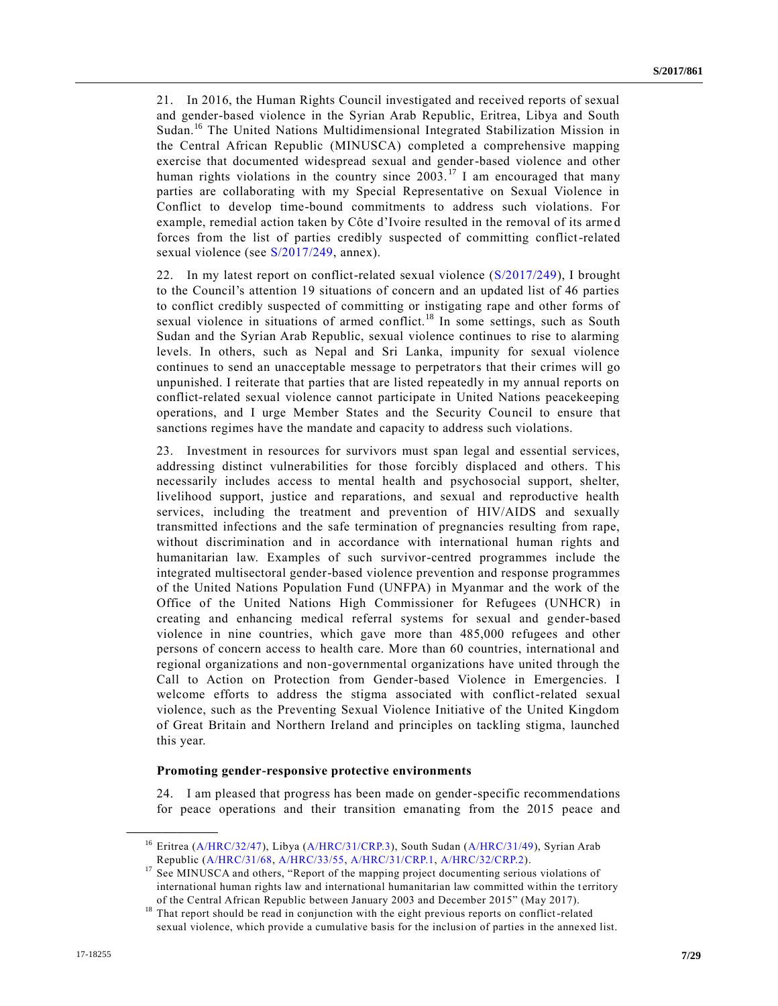21. In 2016, the Human Rights Council investigated and received reports of sexual and gender-based violence in the Syrian Arab Republic, Eritrea, Libya and South Sudan.<sup>16</sup> The United Nations Multidimensional Integrated Stabilization Mission in the Central African Republic (MINUSCA) completed a comprehensive mapping exercise that documented widespread sexual and gender-based violence and other human rights violations in the country since  $2003$ .<sup>17</sup> I am encouraged that many parties are collaborating with my Special Representative on Sexual Violence in Conflict to develop time-bound commitments to address such violations. For example, remedial action taken by Côte d'Ivoire resulted in the removal of its arme d forces from the list of parties credibly suspected of committing conflict-related sexual violence (see [S/2017/249,](https://undocs.org/S/2017/249) annex).

22. In my latest report on conflict-related sexual violence [\(S/2017/249\)](https://undocs.org/S/2017/249), I brought to the Council's attention 19 situations of concern and an updated list of 46 parties to conflict credibly suspected of committing or instigating rape and other forms of sexual violence in situations of armed conflict.<sup>18</sup> In some settings, such as South Sudan and the Syrian Arab Republic, sexual violence continues to rise to alarming levels. In others, such as Nepal and Sri Lanka, impunity for sexual violence continues to send an unacceptable message to perpetrators that their crimes will go unpunished. I reiterate that parties that are listed repeatedly in my annual reports on conflict-related sexual violence cannot participate in United Nations peacekeeping operations, and I urge Member States and the Security Council to ensure that sanctions regimes have the mandate and capacity to address such violations.

23. Investment in resources for survivors must span legal and essential services, addressing distinct vulnerabilities for those forcibly displaced and others. This necessarily includes access to mental health and psychosocial support, shelter, livelihood support, justice and reparations, and sexual and reproductive health services, including the treatment and prevention of HIV/AIDS and sexually transmitted infections and the safe termination of pregnancies resulting from rape, without discrimination and in accordance with international human rights and humanitarian law. Examples of such survivor-centred programmes include the integrated multisectoral gender-based violence prevention and response programmes of the United Nations Population Fund (UNFPA) in Myanmar and the work of the Office of the United Nations High Commissioner for Refugees (UNHCR) in creating and enhancing medical referral systems for sexual and gender-based violence in nine countries, which gave more than 485,000 refugees and other persons of concern access to health care. More than 60 countries, international and regional organizations and non-governmental organizations have united through the Call to Action on Protection from Gender-based Violence in Emergencies. I welcome efforts to address the stigma associated with conflict-related sexual violence, such as the Preventing Sexual Violence Initiative of the United Kingdom of Great Britain and Northern Ireland and principles on tackling stigma, launched this year.

#### **Promoting gender-responsive protective environments**

24. I am pleased that progress has been made on gender-specific recommendations for peace operations and their transition emanating from the 2015 peace and

<sup>&</sup>lt;sup>16</sup> Eritrea [\(A/HRC/32/47\)](https://undocs.org/A/HRC/32/47), Libya [\(A/HRC/31/CRP.3\)](https://undocs.org/A/HRC/31/CRP.3), South Sudan [\(A/HRC/31/49\)](https://undocs.org/A/HRC/31/49), Syrian Arab Republic [\(A/HRC/31/68,](https://undocs.org/A/HRC/31/68) [A/HRC/33/55,](https://undocs.org/A/HRC/33/55) [A/HRC/31/CRP.1,](https://undocs.org/A/HRC/31/CRP.1) [A/HRC/32/CRP.2\)](https://undocs.org/A/HRC/32/CRP.2).

<sup>&</sup>lt;sup>17</sup> See MINUSCA and others, "Report of the mapping project documenting serious violations of international human rights law and international humanitarian law committed within the territory of the Central African Republic between January 2003 and December 2015" (May 2017).

<sup>&</sup>lt;sup>18</sup> That report should be read in conjunction with the eight previous reports on conflict-related sexual violence, which provide a cumulative basis for the inclusion of parties in the annexed list.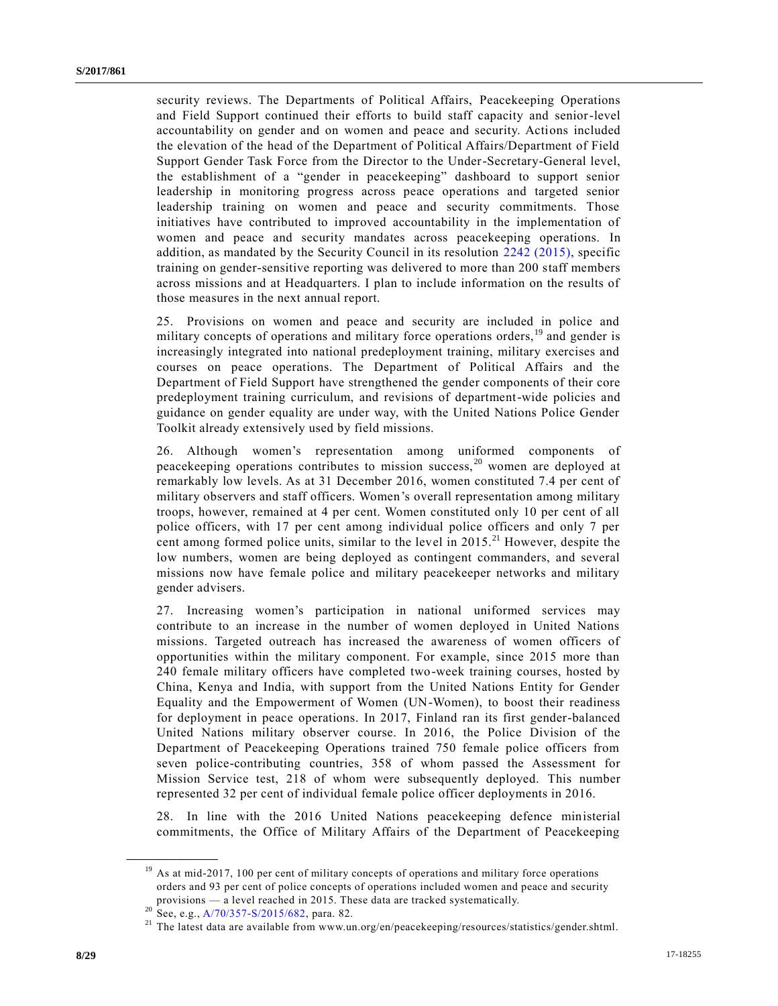security reviews. The Departments of Political Affairs, Peacekeeping Operations and Field Support continued their efforts to build staff capacity and senior-level accountability on gender and on women and peace and security. Actions included the elevation of the head of the Department of Political Affairs/Department of Field Support Gender Task Force from the Director to the Under-Secretary-General level, the establishment of a "gender in peacekeeping" dashboard to support senior leadership in monitoring progress across peace operations and targeted senior leadership training on women and peace and security commitments. Those initiatives have contributed to improved accountability in the implementation of women and peace and security mandates across peacekeeping operations. In addition, as mandated by the Security Council in its resolution [2242 \(2015\),](https://undocs.org/S/RES/2242(2015)) specific training on gender-sensitive reporting was delivered to more than 200 staff members across missions and at Headquarters. I plan to include information on the results of those measures in the next annual report.

25. Provisions on women and peace and security are included in police and military concepts of operations and military force operations orders,<sup>19</sup> and gender is increasingly integrated into national predeployment training, military exercises and courses on peace operations. The Department of Political Affairs and the Department of Field Support have strengthened the gender components of their core predeployment training curriculum, and revisions of department-wide policies and guidance on gender equality are under way, with the United Nations Police Gender Toolkit already extensively used by field missions.

26. Although women's representation among uniformed components of peacekeeping operations contributes to mission success,  $20$  women are deployed at remarkably low levels. As at 31 December 2016, women constituted 7.4 per cent of military observers and staff officers. Women's overall representation among military troops, however, remained at 4 per cent. Women constituted only 10 per cent of all police officers, with 17 per cent among individual police officers and only 7 per cent among formed police units, similar to the level in 2015.<sup>21</sup> However, despite the low numbers, women are being deployed as contingent commanders, and several missions now have female police and military peacekeeper networks and military gender advisers.

27. Increasing women's participation in national uniformed services may contribute to an increase in the number of women deployed in United Nations missions. Targeted outreach has increased the awareness of women officers of opportunities within the military component. For example, since 2015 more than 240 female military officers have completed two-week training courses, hosted by China, Kenya and India, with support from the United Nations Entity for Gender Equality and the Empowerment of Women (UN-Women), to boost their readiness for deployment in peace operations. In 2017, Finland ran its first gender-balanced United Nations military observer course. In 2016, the Police Division of the Department of Peacekeeping Operations trained 750 female police officers from seven police-contributing countries, 358 of whom passed the Assessment for Mission Service test, 218 of whom were subsequently deployed. This number represented 32 per cent of individual female police officer deployments in 2016.

28. In line with the 2016 United Nations peacekeeping defence ministerial commitments, the Office of Military Affairs of the Department of Peacekeeping

 $19$  As at mid-2017, 100 per cent of military concepts of operations and military force operations orders and 93 per cent of police concepts of operations included women and peace and security provisions — a level reached in 2015. These data are tracked systematically.

<sup>20</sup> See, e.g.[, A/70/357-S/2015/682,](https://undocs.org/A/70/357) para. 82.

<sup>&</sup>lt;sup>21</sup> The latest data are available from www.un.org/en/peacekeeping/resources/statistics/gender.shtml.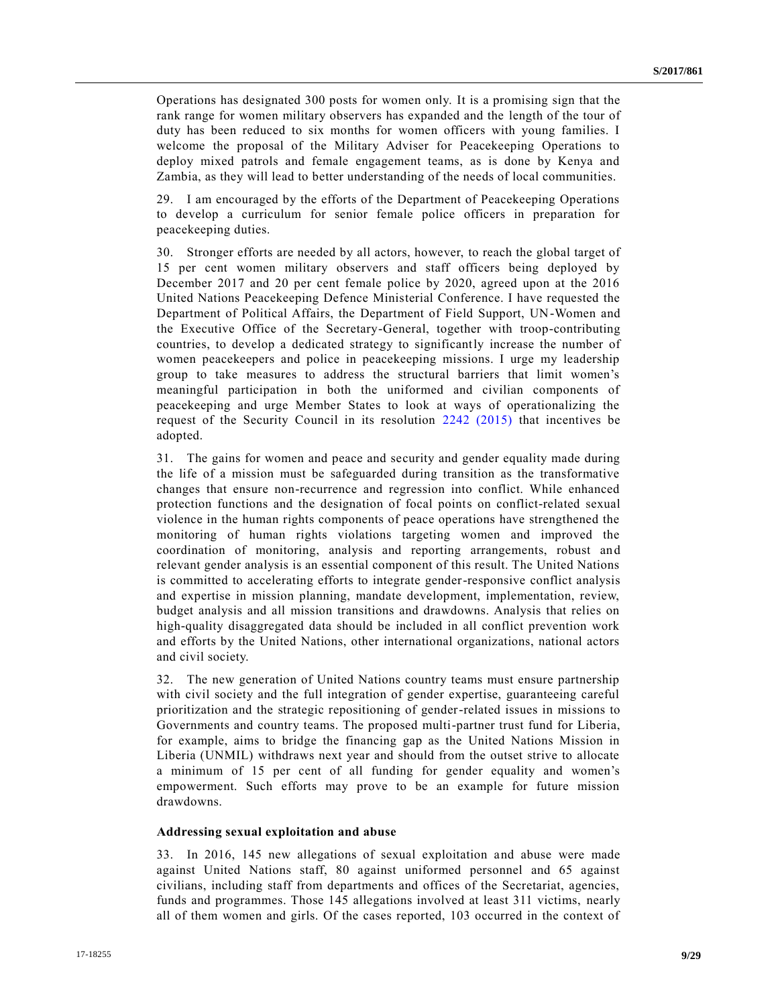Operations has designated 300 posts for women only. It is a promising sign that the rank range for women military observers has expanded and the length of the tour of duty has been reduced to six months for women officers with young families. I welcome the proposal of the Military Adviser for Peacekeeping Operations to deploy mixed patrols and female engagement teams, as is done by Kenya and Zambia, as they will lead to better understanding of the needs of local communities.

29. I am encouraged by the efforts of the Department of Peacekeeping Operations to develop a curriculum for senior female police officers in preparation for peacekeeping duties.

30. Stronger efforts are needed by all actors, however, to reach the global target of 15 per cent women military observers and staff officers being deployed by December 2017 and 20 per cent female police by 2020, agreed upon at the 2016 United Nations Peacekeeping Defence Ministerial Conference. I have requested the Department of Political Affairs, the Department of Field Support, UN-Women and the Executive Office of the Secretary-General, together with troop-contributing countries, to develop a dedicated strategy to significantly increase the number of women peacekeepers and police in peacekeeping missions. I urge my leadership group to take measures to address the structural barriers that limit women's meaningful participation in both the uniformed and civilian components of peacekeeping and urge Member States to look at ways of operationalizing the request of the Security Council in its resolution [2242 \(2015\)](https://undocs.org/S/RES/2242(2015)) that incentives be adopted.

31. The gains for women and peace and security and gender equality made during the life of a mission must be safeguarded during transition as the transformative changes that ensure non-recurrence and regression into conflict. While enhanced protection functions and the designation of focal points on conflict-related sexual violence in the human rights components of peace operations have strengthened the monitoring of human rights violations targeting women and improved the coordination of monitoring, analysis and reporting arrangements, robust and relevant gender analysis is an essential component of this result. The United Nations is committed to accelerating efforts to integrate gender-responsive conflict analysis and expertise in mission planning, mandate development, implementation, review, budget analysis and all mission transitions and drawdowns. Analysis that relies on high-quality disaggregated data should be included in all conflict prevention work and efforts by the United Nations, other international organizations, national actors and civil society.

32. The new generation of United Nations country teams must ensure partnership with civil society and the full integration of gender expertise, guaranteeing careful prioritization and the strategic repositioning of gender-related issues in missions to Governments and country teams. The proposed multi-partner trust fund for Liberia, for example, aims to bridge the financing gap as the United Nations Mission in Liberia (UNMIL) withdraws next year and should from the outset strive to allocate a minimum of 15 per cent of all funding for gender equality and women's empowerment. Such efforts may prove to be an example for future mission drawdowns.

### **Addressing sexual exploitation and abuse**

33. In 2016, 145 new allegations of sexual exploitation and abuse were made against United Nations staff, 80 against uniformed personnel and 65 against civilians, including staff from departments and offices of the Secretariat, agencies, funds and programmes. Those 145 allegations involved at least 311 victims, nearly all of them women and girls. Of the cases reported, 103 occurred in the context of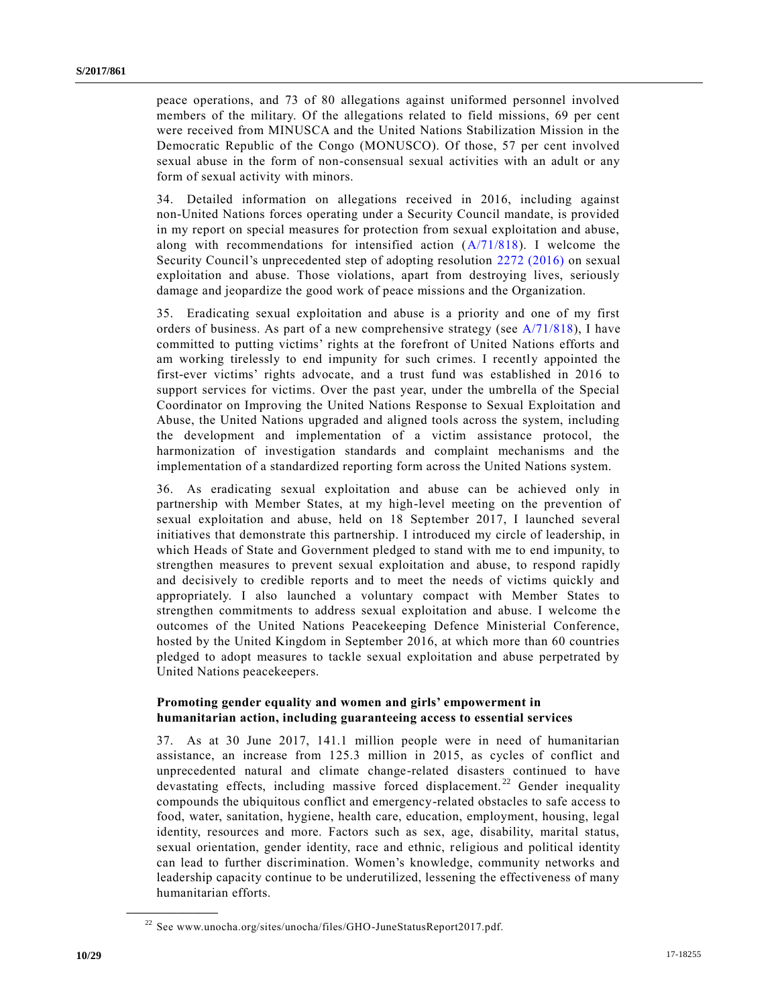peace operations, and 73 of 80 allegations against uniformed personnel involved members of the military. Of the allegations related to field missions, 69 per cent were received from MINUSCA and the United Nations Stabilization Mission in the Democratic Republic of the Congo (MONUSCO). Of those, 57 per cent involved sexual abuse in the form of non-consensual sexual activities with an adult or any form of sexual activity with minors.

34. Detailed information on allegations received in 2016, including against non-United Nations forces operating under a Security Council mandate, is provided in my report on special measures for protection from sexual exploitation and abuse, along with recommendations for intensified action  $(A/71/818)$ . I welcome the Security Council's unprecedented step of adopting resolution [2272 \(2016\)](https://undocs.org/S/RES/2272(2016)) on sexual exploitation and abuse. Those violations, apart from destroying lives, seriously damage and jeopardize the good work of peace missions and the Organization.

35. Eradicating sexual exploitation and abuse is a priority and one of my first orders of business. As part of a new comprehensive strategy (see  $A/71/818$ ), I have committed to putting victims' rights at the forefront of United Nations efforts and am working tirelessly to end impunity for such crimes. I recently appointed the first-ever victims' rights advocate, and a trust fund was established in 2016 to support services for victims. Over the past year, under the umbrella of the Special Coordinator on Improving the United Nations Response to Sexual Exploitation and Abuse, the United Nations upgraded and aligned tools across the system, including the development and implementation of a victim assistance protocol, the harmonization of investigation standards and complaint mechanisms and the implementation of a standardized reporting form across the United Nations system.

36. As eradicating sexual exploitation and abuse can be achieved only in partnership with Member States, at my high-level meeting on the prevention of sexual exploitation and abuse, held on 18 September 2017, I launched several initiatives that demonstrate this partnership. I introduced my circle of leadership, in which Heads of State and Government pledged to stand with me to end impunity, to strengthen measures to prevent sexual exploitation and abuse, to respond rapidly and decisively to credible reports and to meet the needs of victims quickly and appropriately. I also launched a voluntary compact with Member States to strengthen commitments to address sexual exploitation and abuse. I welcome the outcomes of the United Nations Peacekeeping Defence Ministerial Conference, hosted by the United Kingdom in September 2016, at which more than 60 countries pledged to adopt measures to tackle sexual exploitation and abuse perpetrated by United Nations peacekeepers.

## **Promoting gender equality and women and girls' empowerment in humanitarian action, including guaranteeing access to essential services**

37. As at 30 June 2017, 141.1 million people were in need of humanitarian assistance, an increase from 125.3 million in 2015, as cycles of conflict and unprecedented natural and climate change-related disasters continued to have devastating effects, including massive forced displacement.<sup>22</sup> Gender inequality compounds the ubiquitous conflict and emergency-related obstacles to safe access to food, water, sanitation, hygiene, health care, education, employment, housing, legal identity, resources and more. Factors such as sex, age, disability, marital status, sexual orientation, gender identity, race and ethnic, religious and political identity can lead to further discrimination. Women's knowledge, community networks and leadership capacity continue to be underutilized, lessening the effectiveness of many humanitarian efforts.

<sup>&</sup>lt;sup>22</sup> See www.unocha.org/sites/unocha/files/GHO-JuneStatusReport2017.pdf.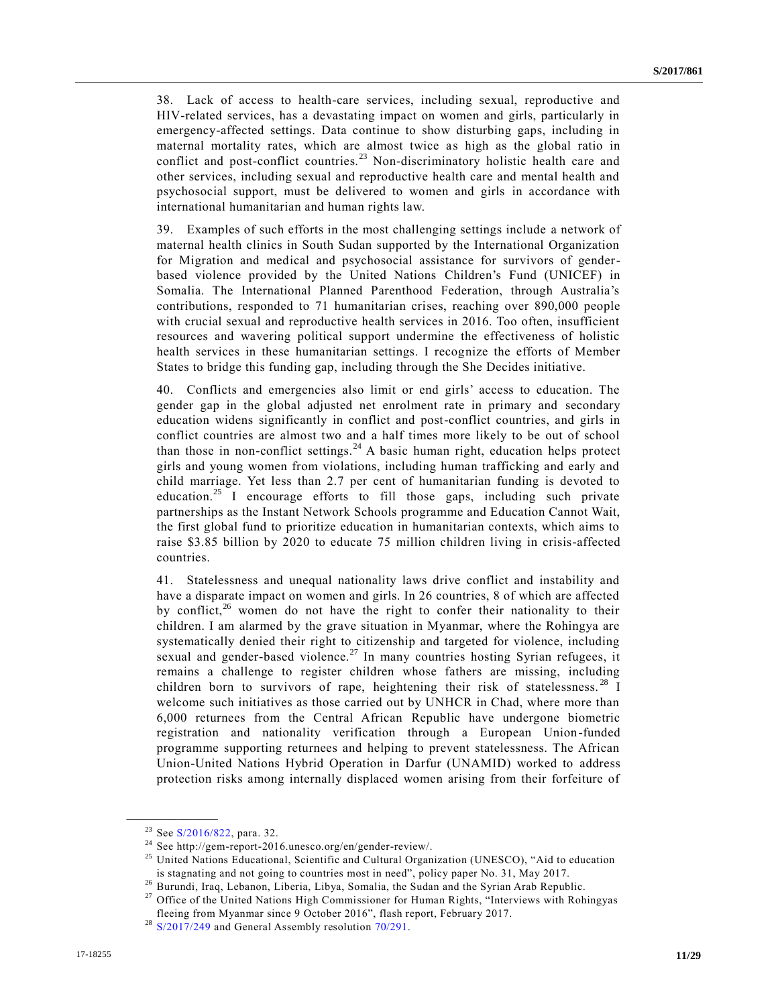38. Lack of access to health-care services, including sexual, reproductive and HIV-related services, has a devastating impact on women and girls, particularly in emergency-affected settings. Data continue to show disturbing gaps, including in maternal mortality rates, which are almost twice as high as the global ratio in conflict and post-conflict countries.<sup>23</sup> Non-discriminatory holistic health care and other services, including sexual and reproductive health care and mental health and psychosocial support, must be delivered to women and girls in accordance with international humanitarian and human rights law.

39. Examples of such efforts in the most challenging settings include a network of maternal health clinics in South Sudan supported by the International Organization for Migration and medical and psychosocial assistance for survivors of genderbased violence provided by the United Nations Children's Fund (UNICEF) in Somalia. The International Planned Parenthood Federation, through Australia's contributions, responded to 71 humanitarian crises, reaching over 890,000 people with crucial sexual and reproductive health services in 2016. Too often, insufficient resources and wavering political support undermine the effectiveness of holistic health services in these humanitarian settings. I recognize the efforts of Member States to bridge this funding gap, including through the She Decides initiative.

40. Conflicts and emergencies also limit or end girls' access to education. The gender gap in the global adjusted net enrolment rate in primary and secondary education widens significantly in conflict and post-conflict countries, and girls in conflict countries are almost two and a half times more likely to be out of school than those in non-conflict settings.<sup>24</sup> A basic human right, education helps protect girls and young women from violations, including human trafficking and early and child marriage. Yet less than 2.7 per cent of humanitarian funding is devoted to education.<sup>25</sup> I encourage efforts to fill those gaps, including such private partnerships as the Instant Network Schools programme and Education Cannot Wait, the first global fund to prioritize education in humanitarian contexts, which aims to raise \$3.85 billion by 2020 to educate 75 million children living in crisis-affected countries.

41. Statelessness and unequal nationality laws drive conflict and instability and have a disparate impact on women and girls. In 26 countries, 8 of which are affected by conflict,<sup>26</sup> women do not have the right to confer their nationality to their children. I am alarmed by the grave situation in Myanmar, where the Rohingya are systematically denied their right to citizenship and targeted for violence, including sexual and gender-based violence.<sup>27</sup> In many countries hosting Syrian refugees, it remains a challenge to register children whose fathers are missing, including children born to survivors of rape, heightening their risk of statelessness.<sup>28</sup> I welcome such initiatives as those carried out by UNHCR in Chad, where more than 6,000 returnees from the Central African Republic have undergone biometric registration and nationality verification through a European Union-funded programme supporting returnees and helping to prevent statelessness. The African Union-United Nations Hybrid Operation in Darfur (UNAMID) worked to address protection risks among internally displaced women arising from their forfeiture of

<sup>23</sup> See [S/2016/822,](https://undocs.org/S/2016/822) para. 32.

<sup>24</sup> See http://gem-report-2016.unesco.org/en/gender-review/.

<sup>&</sup>lt;sup>25</sup> United Nations Educational, Scientific and Cultural Organization (UNESCO), "Aid to education is stagnating and not going to countries most in need", policy paper No. 31, May 2017.

<sup>&</sup>lt;sup>26</sup> Burundi, Iraq, Lebanon, Liberia, Libya, Somalia, the Sudan and the Syrian Arab Republic.

<sup>&</sup>lt;sup>27</sup> Office of the United Nations High Commissioner for Human Rights, "Interviews with Rohingyas fleeing from Myanmar since 9 October 2016", flash report, February 2017.

 $28$  [S/2017/249](https://undocs.org/S/2017/249) and General Assembly resolution [70/291.](https://undocs.org/A/RES/70/291)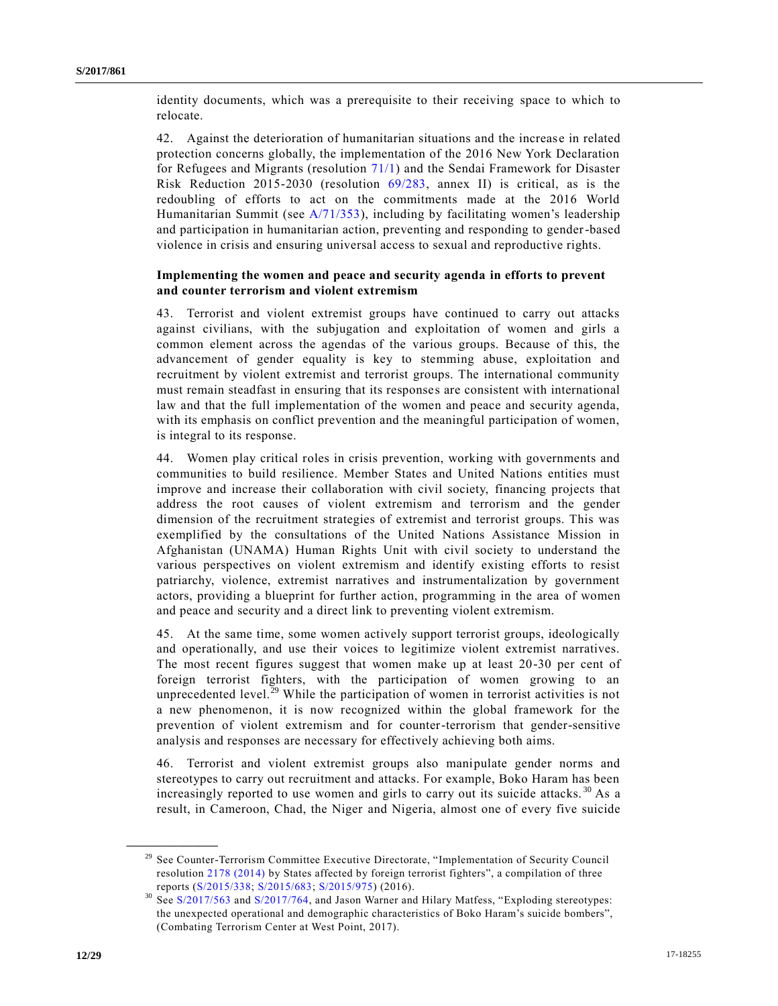identity documents, which was a prerequisite to their receiving space to which to relocate.

42. Against the deterioration of humanitarian situations and the increas e in related protection concerns globally, the implementation of the 2016 New York Declaration for Refugees and Migrants (resolution [71/1\)](https://undocs.org/A/RES/71/1) and the Sendai Framework for Disaster Risk Reduction 2015-2030 (resolution [69/283,](https://undocs.org/A/RES/69/283) annex II) is critical, as is the redoubling of efforts to act on the commitments made at the 2016 World Humanitarian Summit (see  $A/71/353$ ), including by facilitating women's leadership and participation in humanitarian action, preventing and responding to gender-based violence in crisis and ensuring universal access to sexual and reproductive rights.

### **Implementing the women and peace and security agenda in efforts to prevent and counter terrorism and violent extremism**

43. Terrorist and violent extremist groups have continued to carry out attacks against civilians, with the subjugation and exploitation of women and girls a common element across the agendas of the various groups. Because of this, the advancement of gender equality is key to stemming abuse, exploitation and recruitment by violent extremist and terrorist groups. The international community must remain steadfast in ensuring that its responses are consistent with international law and that the full implementation of the women and peace and security agenda, with its emphasis on conflict prevention and the meaningful participation of women, is integral to its response.

44. Women play critical roles in crisis prevention, working with governments and communities to build resilience. Member States and United Nations entities must improve and increase their collaboration with civil society, financing projects that address the root causes of violent extremism and terrorism and the gender dimension of the recruitment strategies of extremist and terrorist groups. This was exemplified by the consultations of the United Nations Assistance Mission in Afghanistan (UNAMA) Human Rights Unit with civil society to understand the various perspectives on violent extremism and identify existing efforts to resist patriarchy, violence, extremist narratives and instrumentalization by government actors, providing a blueprint for further action, programming in the area of women and peace and security and a direct link to preventing violent extremism.

45. At the same time, some women actively support terrorist groups, ideologically and operationally, and use their voices to legitimize violent extremist narratives. The most recent figures suggest that women make up at least 20-30 per cent of foreign terrorist fighters, with the participation of women growing to an unprecedented level.<sup>29</sup> While the participation of women in terrorist activities is not a new phenomenon, it is now recognized within the global framework for the prevention of violent extremism and for counter-terrorism that gender-sensitive analysis and responses are necessary for effectively achieving both aims.

46. Terrorist and violent extremist groups also manipulate gender norms and stereotypes to carry out recruitment and attacks. For example, Boko Haram has been increasingly reported to use women and girls to carry out its suicide attacks.<sup>30</sup> As a result, in Cameroon, Chad, the Niger and Nigeria, almost one of every five suicide

<sup>&</sup>lt;sup>29</sup> See Counter-Terrorism Committee Executive Directorate, "Implementation of Security Council resolution [2178 \(2014\)](https://undocs.org/S/RES/2178(2014)) by States affected by foreign terrorist fighters", a compilation of three reports [\(S/2015/338;](https://undocs.org/S/2015/338) [S/2015/683;](https://undocs.org/S/2015/683) [S/2015/975\)](https://undocs.org/S/2015/975) (2016).

<sup>&</sup>lt;sup>30</sup> See [S/2017/563](https://undocs.org/S/2017/563) and [S/2017/764,](https://undocs.org/S/2017/764) and Jason Warner and Hilary Matfess, "Exploding stereotypes: the unexpected operational and demographic characteristics of Boko Haram's suicide bombers", (Combating Terrorism Center at West Point, 2017).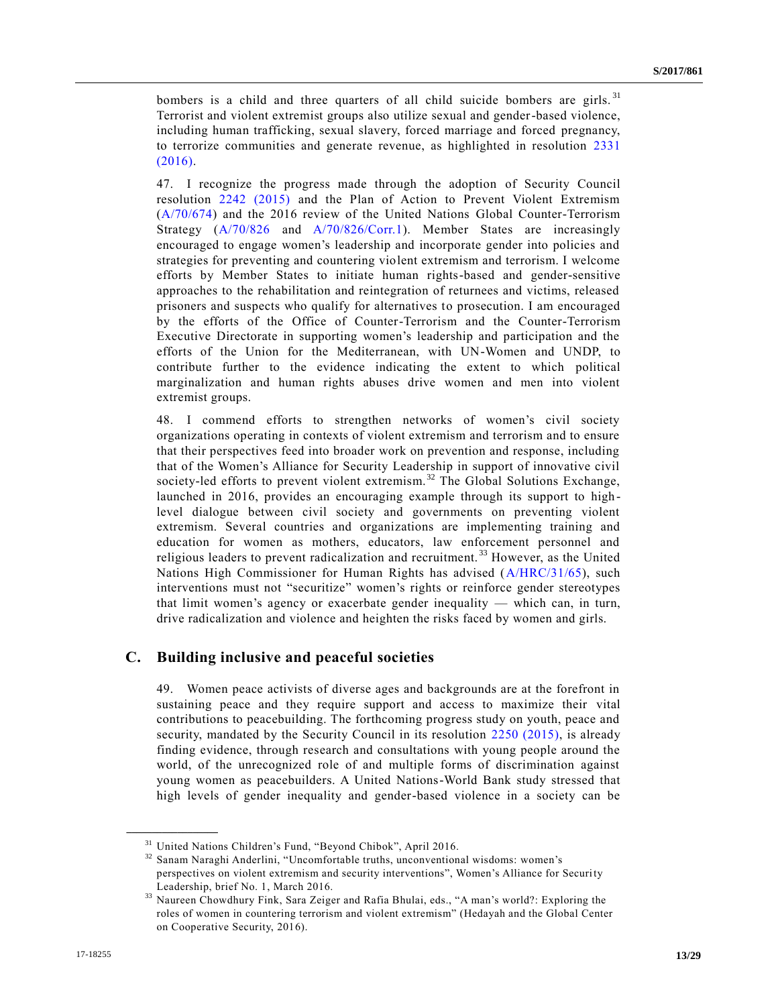bombers is a child and three quarters of all child suicide bombers are girls.<sup>31</sup> Terrorist and violent extremist groups also utilize sexual and gender-based violence, including human trafficking, sexual slavery, forced marriage and forced pregnancy, to terrorize communities and generate revenue, as highlighted in resolution [2331](https://undocs.org/S/RES/2331(2016))  [\(2016\).](https://undocs.org/S/RES/2331(2016))

47. I recognize the progress made through the adoption of Security Council resolution [2242 \(2015\)](https://undocs.org/S/RES/2242(2015)) and the Plan of Action to Prevent Violent Extremism [\(A/70/674\)](https://undocs.org/A/70/674) and the 2016 review of the United Nations Global Counter-Terrorism Strategy [\(A/70/826](https://undocs.org/A/70/826) and [A/70/826/Corr.1\)](https://undocs.org/A/70/826/Corr.1). Member States are increasingly encouraged to engage women's leadership and incorporate gender into policies and strategies for preventing and countering violent extremism and terrorism. I welcome efforts by Member States to initiate human rights-based and gender-sensitive approaches to the rehabilitation and reintegration of returnees and victims, released prisoners and suspects who qualify for alternatives to prosecution. I am encouraged by the efforts of the Office of Counter-Terrorism and the Counter-Terrorism Executive Directorate in supporting women's leadership and participation and the efforts of the Union for the Mediterranean, with UN-Women and UNDP, to contribute further to the evidence indicating the extent to which political marginalization and human rights abuses drive women and men into violent extremist groups.

48. I commend efforts to strengthen networks of women's civil society organizations operating in contexts of violent extremism and terrorism and to ensure that their perspectives feed into broader work on prevention and response, including that of the Women's Alliance for Security Leadership in support of innovative civil society-led efforts to prevent violent extremism.<sup>32</sup> The Global Solutions Exchange, launched in 2016, provides an encouraging example through its support to highlevel dialogue between civil society and governments on preventing violent extremism. Several countries and organizations are implementing training and education for women as mothers, educators, law enforcement personnel and religious leaders to prevent radicalization and recruitment.<sup>33</sup> However, as the United Nations High Commissioner for Human Rights has advised [\(A/HRC/31/65\)](https://undocs.org/A/HRC/31/65), such interventions must not "securitize" women's rights or reinforce gender stereotypes that limit women's agency or exacerbate gender inequality — which can, in turn, drive radicalization and violence and heighten the risks faced by women and girls.

## **C. Building inclusive and peaceful societies**

49. Women peace activists of diverse ages and backgrounds are at the forefront in sustaining peace and they require support and access to maximize their vital contributions to peacebuilding. The forthcoming progress study on youth, peace and security, mandated by the Security Council in its resolution [2250 \(2015\),](https://undocs.org/S/RES/2250(2015)) is already finding evidence, through research and consultations with young people around the world, of the unrecognized role of and multiple forms of discrimination against young women as peacebuilders. A United Nations-World Bank study stressed that high levels of gender inequality and gender-based violence in a society can be

 $\frac{31}{32}$  United Nations Children's Fund, "Beyond Chibok", April 2016.

Sanam Naraghi Anderlini, "Uncomfortable truths, unconventional wisdoms: women's perspectives on violent extremism and security interventions", Women's Alliance for Security Leadership, brief No. 1, March 2016.

<sup>33</sup> Naureen Chowdhury Fink, Sara Zeiger and Rafia Bhulai, eds., "A man's world?: Exploring the roles of women in countering terrorism and violent extremism" (Hedayah and the Global Center on Cooperative Security, 2016).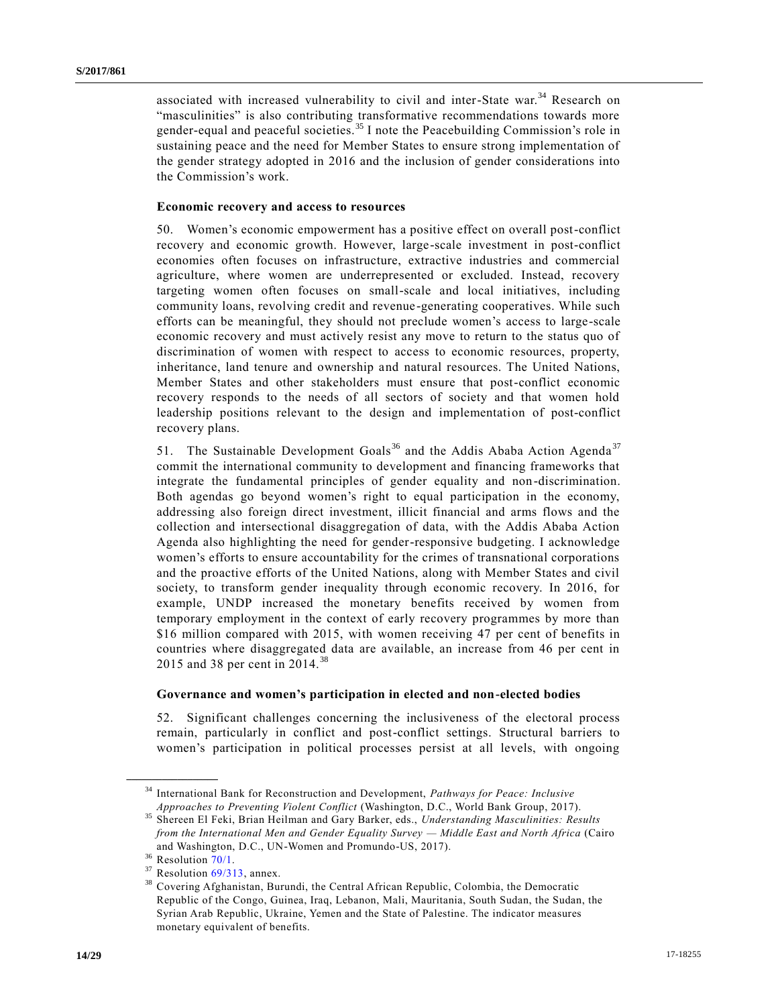associated with increased vulnerability to civil and inter-State war.<sup>34</sup> Research on "masculinities" is also contributing transformative recommendations towards more gender-equal and peaceful societies.<sup>35</sup> I note the Peacebuilding Commission's role in sustaining peace and the need for Member States to ensure strong implementation of the gender strategy adopted in 2016 and the inclusion of gender considerations into the Commission's work.

#### **Economic recovery and access to resources**

50. Women's economic empowerment has a positive effect on overall post-conflict recovery and economic growth. However, large-scale investment in post-conflict economies often focuses on infrastructure, extractive industries and commercial agriculture, where women are underrepresented or excluded. Instead, recovery targeting women often focuses on small-scale and local initiatives, including community loans, revolving credit and revenue-generating cooperatives. While such efforts can be meaningful, they should not preclude women's access to large-scale economic recovery and must actively resist any move to return to the status quo of discrimination of women with respect to access to economic resources, property, inheritance, land tenure and ownership and natural resources. The United Nations, Member States and other stakeholders must ensure that post-conflict economic recovery responds to the needs of all sectors of society and that women hold leadership positions relevant to the design and implementation of post-conflict recovery plans.

51. The Sustainable Development Goals<sup>36</sup> and the Addis Ababa Action Agenda<sup>37</sup> commit the international community to development and financing frameworks that integrate the fundamental principles of gender equality and non-discrimination. Both agendas go beyond women's right to equal participation in the economy, addressing also foreign direct investment, illicit financial and arms flows and the collection and intersectional disaggregation of data, with the Addis Ababa Action Agenda also highlighting the need for gender-responsive budgeting. I acknowledge women's efforts to ensure accountability for the crimes of transnational corporations and the proactive efforts of the United Nations, along with Member States and civil society, to transform gender inequality through economic recovery. In 2016, for example, UNDP increased the monetary benefits received by women from temporary employment in the context of early recovery programmes by more than \$16 million compared with 2015, with women receiving 47 per cent of benefits in countries where disaggregated data are available, an increase from 46 per cent in 2015 and 38 per cent in 2014.<sup>38</sup>

#### **Governance and women's participation in elected and non-elected bodies**

52. Significant challenges concerning the inclusiveness of the electoral process remain, particularly in conflict and post-conflict settings. Structural barriers to women's participation in political processes persist at all levels, with ongoing

<sup>34</sup> International Bank for Reconstruction and Development, *Pathways for Peace: Inclusive Approaches to Preventing Violent Conflict* (Washington, D.C., World Bank Group, 2017).

<sup>35</sup> Shereen El Feki, Brian Heilman and Gary Barker, eds., *Understanding Masculinities: Results from the International Men and Gender Equality Survey — Middle East and North Africa* (Cairo and Washington, D.C., UN-Women and Promundo-US, 2017).

 $36$  Resolution  $70/1$ .

 $37$  Resolution  $69/313$ , annex.<br> $38$  Covering Afghanistan Pur

<sup>38</sup> Covering Afghanistan, Burundi, the Central African Republic, Colombia, the Democratic Republic of the Congo, Guinea, Iraq, Lebanon, Mali, Mauritania, South Sudan, the Sudan, the Syrian Arab Republic, Ukraine, Yemen and the State of Palestine. The indicator measures monetary equivalent of benefits.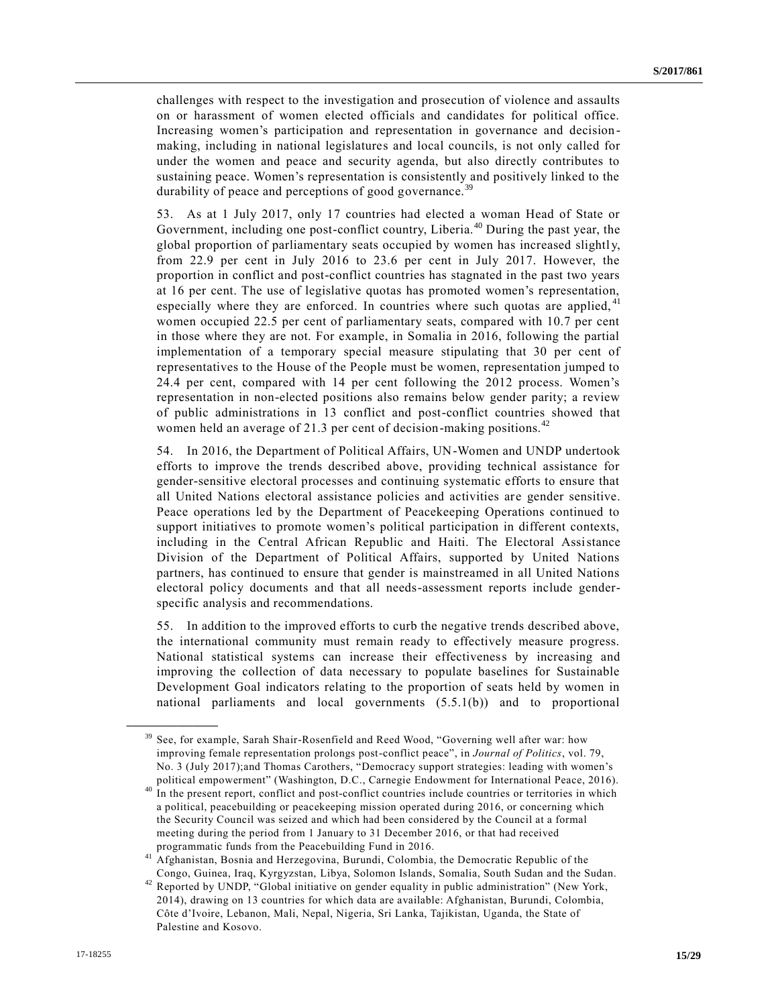challenges with respect to the investigation and prosecution of violence and assaults on or harassment of women elected officials and candidates for political office. Increasing women's participation and representation in governance and decision making, including in national legislatures and local councils, is not only called for under the women and peace and security agenda, but also directly contributes to sustaining peace. Women's representation is consistently and positively linked to the durability of peace and perceptions of good governance.<sup>39</sup>

53. As at 1 July 2017, only 17 countries had elected a woman Head of State or Government, including one post-conflict country, Liberia.<sup>40</sup> During the past year, the global proportion of parliamentary seats occupied by women has increased slightl y, from 22.9 per cent in July 2016 to 23.6 per cent in July 2017. However, the proportion in conflict and post-conflict countries has stagnated in the past two years at 16 per cent. The use of legislative quotas has promoted women's representation, especially where they are enforced. In countries where such quotas are applied,  $41$ women occupied 22.5 per cent of parliamentary seats, compared with 10.7 per cent in those where they are not. For example, in Somalia in 2016, following the partial implementation of a temporary special measure stipulating that 30 per cent of representatives to the House of the People must be women, representation jumped to 24.4 per cent, compared with 14 per cent following the 2012 process. Women's representation in non-elected positions also remains below gender parity; a review of public administrations in 13 conflict and post-conflict countries showed that women held an average of 21.3 per cent of decision-making positions.<sup>4</sup>

54. In 2016, the Department of Political Affairs, UN-Women and UNDP undertook efforts to improve the trends described above, providing technical assistance for gender-sensitive electoral processes and continuing systematic efforts to ensure that all United Nations electoral assistance policies and activities are gender sensitive. Peace operations led by the Department of Peacekeeping Operations continued to support initiatives to promote women's political participation in different contexts, including in the Central African Republic and Haiti. The Electoral Assistance Division of the Department of Political Affairs, supported by United Nations partners, has continued to ensure that gender is mainstreamed in all United Nations electoral policy documents and that all needs-assessment reports include genderspecific analysis and recommendations.

55. In addition to the improved efforts to curb the negative trends described above, the international community must remain ready to effectively measure progress. National statistical systems can increase their effectiveness by increasing and improving the collection of data necessary to populate baselines for Sustainable Development Goal indicators relating to the proportion of seats held by women in national parliaments and local governments (5.5.1(b)) and to proportional

<sup>&</sup>lt;sup>39</sup> See, for example, Sarah Shair-Rosenfield and Reed Wood, "Governing well after war: how improving female representation prolongs post-conflict peace", in *Journal of Politics*, vol. 79, No. 3 (July 2017);and Thomas Carothers, "Democracy support strategies: leading with women's political empowerment" (Washington, D.C., Carnegie Endowment for International Peace, 2016).

<sup>40</sup> In the present report, conflict and post-conflict countries include countries or territories in which a political, peacebuilding or peacekeeping mission operated during 2016, or concerning which the Security Council was seized and which had been considered by the Council at a formal meeting during the period from 1 January to 31 December 2016, or that had received programmatic funds from the Peacebuilding Fund in 2016.

<sup>41</sup> Afghanistan, Bosnia and Herzegovina, Burundi, Colombia, the Democratic Republic of the Congo, Guinea, Iraq, Kyrgyzstan, Libya, Solomon Islands, Somalia, South Sudan and the Sudan.

<sup>42</sup> Reported by UNDP, "Global initiative on gender equality in public administration" (New York, 2014), drawing on 13 countries for which data are available: Afghanistan, Burundi, Colombia, Côte d'Ivoire, Lebanon, Mali, Nepal, Nigeria, Sri Lanka, Tajikistan, Uganda, the State of Palestine and Kosovo.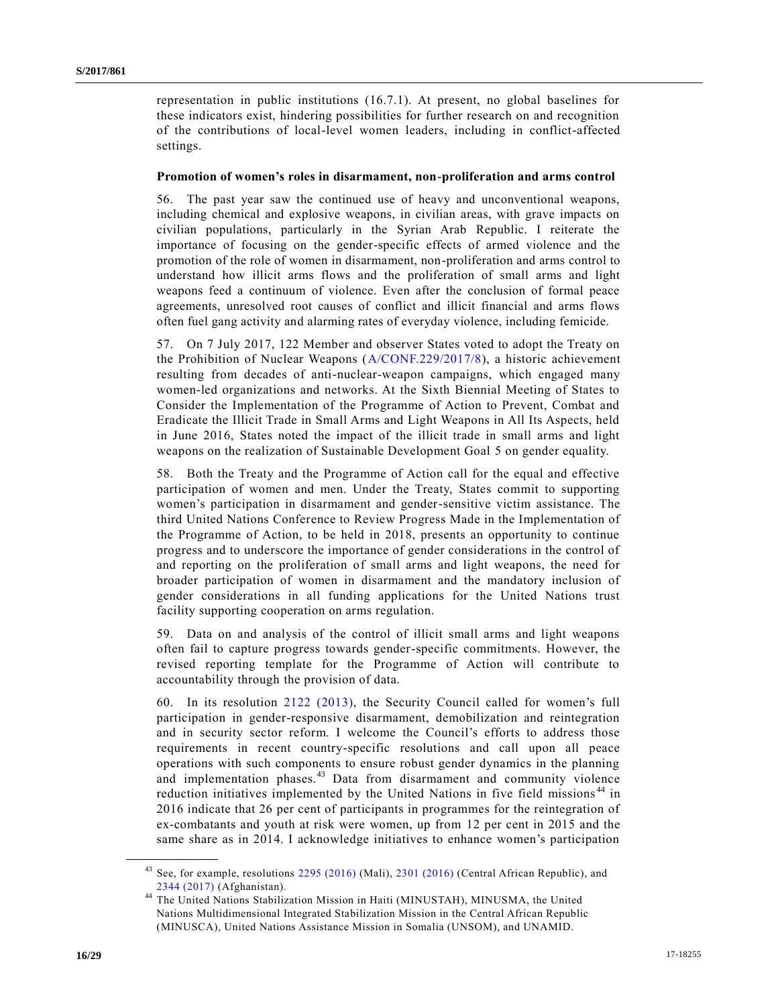representation in public institutions (16.7.1). At present, no global baselines for these indicators exist, hindering possibilities for further research on and recognition of the contributions of local-level women leaders, including in conflict-affected settings.

#### **Promotion of women's roles in disarmament, non-proliferation and arms control**

56. The past year saw the continued use of heavy and unconventional weapons, including chemical and explosive weapons, in civilian areas, with grave impacts on civilian populations, particularly in the Syrian Arab Republic. I reiterate the importance of focusing on the gender-specific effects of armed violence and the promotion of the role of women in disarmament, non-proliferation and arms control to understand how illicit arms flows and the proliferation of small arms and light weapons feed a continuum of violence. Even after the conclusion of formal peace agreements, unresolved root causes of conflict and illicit financial and arms flows often fuel gang activity and alarming rates of everyday violence, including femicide.

57. On 7 July 2017, 122 Member and observer States voted to adopt the Treaty on the Prohibition of Nuclear Weapons [\(A/CONF.229/2017/8\)](https://undocs.org/A/CONF.229/2017/8), a historic achievement resulting from decades of anti-nuclear-weapon campaigns, which engaged many women-led organizations and networks. At the Sixth Biennial Meeting of States to Consider the Implementation of the Programme of Action to Prevent, Combat and Eradicate the Illicit Trade in Small Arms and Light Weapons in All Its Aspects, held in June 2016, States noted the impact of the illicit trade in small arms and light weapons on the realization of Sustainable Development Goal 5 on gender equality.

58. Both the Treaty and the Programme of Action call for the equal and effective participation of women and men. Under the Treaty, States commit to supporting women's participation in disarmament and gender-sensitive victim assistance. The third United Nations Conference to Review Progress Made in the Implementation of the Programme of Action, to be held in 2018, presents an opportunity to continue progress and to underscore the importance of gender considerations in the control of and reporting on the proliferation of small arms and light weapons, the need for broader participation of women in disarmament and the mandatory inclusion of gender considerations in all funding applications for the United Nations trust facility supporting cooperation on arms regulation.

59. Data on and analysis of the control of illicit small arms and light weapons often fail to capture progress towards gender-specific commitments. However, the revised reporting template for the Programme of Action will contribute to accountability through the provision of data.

60. In its resolution [2122 \(2013\),](https://undocs.org/S/RES/2122(2013)) the Security Council called for women's full participation in gender-responsive disarmament, demobilization and reintegration and in security sector reform. I welcome the Council's efforts to address those requirements in recent country-specific resolutions and call upon all peace operations with such components to ensure robust gender dynamics in the planning and implementation phases.<sup>43</sup> Data from disarmament and community violence reduction initiatives implemented by the United Nations in five field missions<sup>44</sup> in 2016 indicate that 26 per cent of participants in programmes for the reintegration of ex-combatants and youth at risk were women, up from 12 per cent in 2015 and the same share as in 2014. I acknowledge initiatives to enhance women's participation

See, for example, resolutions [2295 \(2016\)](https://undocs.org/S/RES/2295(2016)) (Mali), [2301 \(2016\)](https://undocs.org/S/RES/2301(2016)) (Central African Republic), and [2344 \(2017\)](https://undocs.org/S/RES/2344(2017)) (Afghanistan).

<sup>&</sup>lt;sup>44</sup> The United Nations Stabilization Mission in Haiti (MINUSTAH), MINUSMA, the United Nations Multidimensional Integrated Stabilization Mission in the Central African Republic (MINUSCA), United Nations Assistance Mission in Somalia (UNSOM), and UNAMID.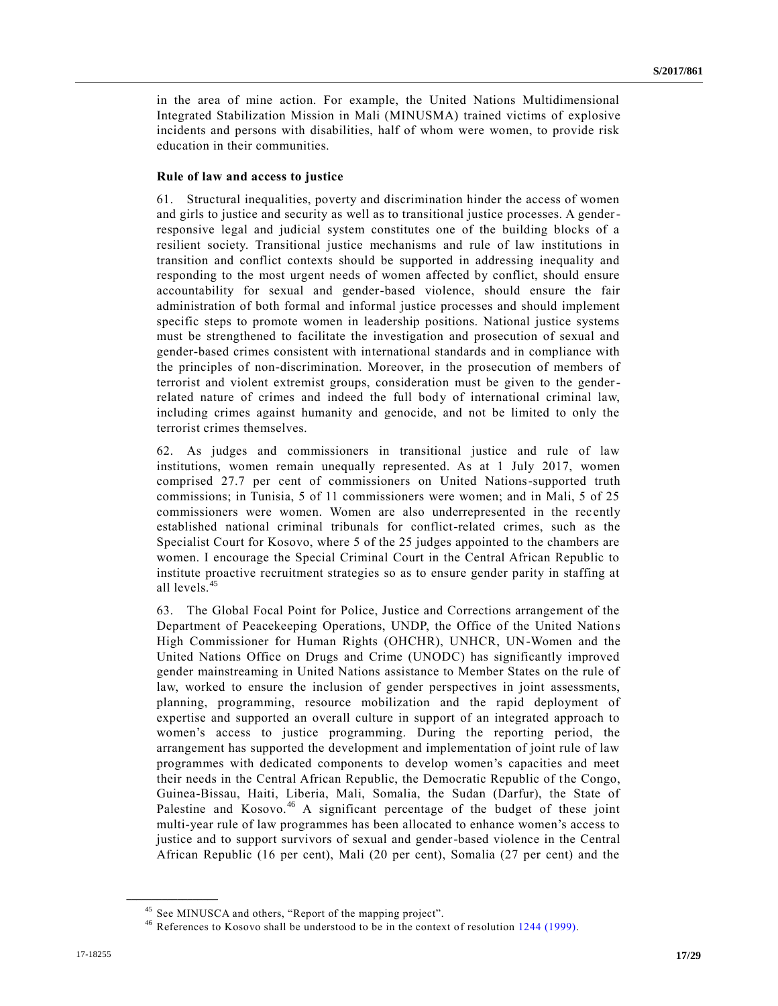in the area of mine action. For example, the United Nations Multidimensional Integrated Stabilization Mission in Mali (MINUSMA) trained victims of explosive incidents and persons with disabilities, half of whom were women, to provide risk education in their communities.

#### **Rule of law and access to justice**

61. Structural inequalities, poverty and discrimination hinder the access of women and girls to justice and security as well as to transitional justice processes. A genderresponsive legal and judicial system constitutes one of the building blocks of a resilient society. Transitional justice mechanisms and rule of law institutions in transition and conflict contexts should be supported in addressing inequality and responding to the most urgent needs of women affected by conflict, should ensure accountability for sexual and gender-based violence, should ensure the fair administration of both formal and informal justice processes and should implement specific steps to promote women in leadership positions. National justice systems must be strengthened to facilitate the investigation and prosecution of sexual and gender-based crimes consistent with international standards and in compliance with the principles of non-discrimination. Moreover, in the prosecution of members of terrorist and violent extremist groups, consideration must be given to the genderrelated nature of crimes and indeed the full body of international criminal law, including crimes against humanity and genocide, and not be limited to only the terrorist crimes themselves.

62. As judges and commissioners in transitional justice and rule of law institutions, women remain unequally represented. As at 1 July 2017, women comprised 27.7 per cent of commissioners on United Nations-supported truth commissions; in Tunisia, 5 of 11 commissioners were women; and in Mali, 5 of 25 commissioners were women. Women are also underrepresented in the rec ently established national criminal tribunals for conflict-related crimes, such as the Specialist Court for Kosovo, where 5 of the 25 judges appointed to the chambers are women. I encourage the Special Criminal Court in the Central African Republic to institute proactive recruitment strategies so as to ensure gender parity in staffing at all levels.<sup>45</sup>

63. The Global Focal Point for Police, Justice and Corrections arrangement of the Department of Peacekeeping Operations, UNDP, the Office of the United Nations High Commissioner for Human Rights (OHCHR), UNHCR, UN-Women and the United Nations Office on Drugs and Crime (UNODC) has significantly improved gender mainstreaming in United Nations assistance to Member States on the rule of law, worked to ensure the inclusion of gender perspectives in joint assessments, planning, programming, resource mobilization and the rapid deployment of expertise and supported an overall culture in support of an integrated approach to women's access to justice programming. During the reporting period, the arrangement has supported the development and implementation of joint rule of law programmes with dedicated components to develop women's capacities and meet their needs in the Central African Republic, the Democratic Republic of the Congo, Guinea-Bissau, Haiti, Liberia, Mali, Somalia, the Sudan (Darfur), the State of Palestine and Kosovo.<sup>46</sup> A significant percentage of the budget of these joint multi-year rule of law programmes has been allocated to enhance women's access to justice and to support survivors of sexual and gender-based violence in the Central African Republic (16 per cent), Mali (20 per cent), Somalia (27 per cent) and the

<sup>&</sup>lt;sup>45</sup> See MINUSCA and others, "Report of the mapping project".

<sup>&</sup>lt;sup>46</sup> References to Kosovo shall be understood to be in the context of resolution [1244 \(1999\).](https://undocs.org/S/RES/1244(1999))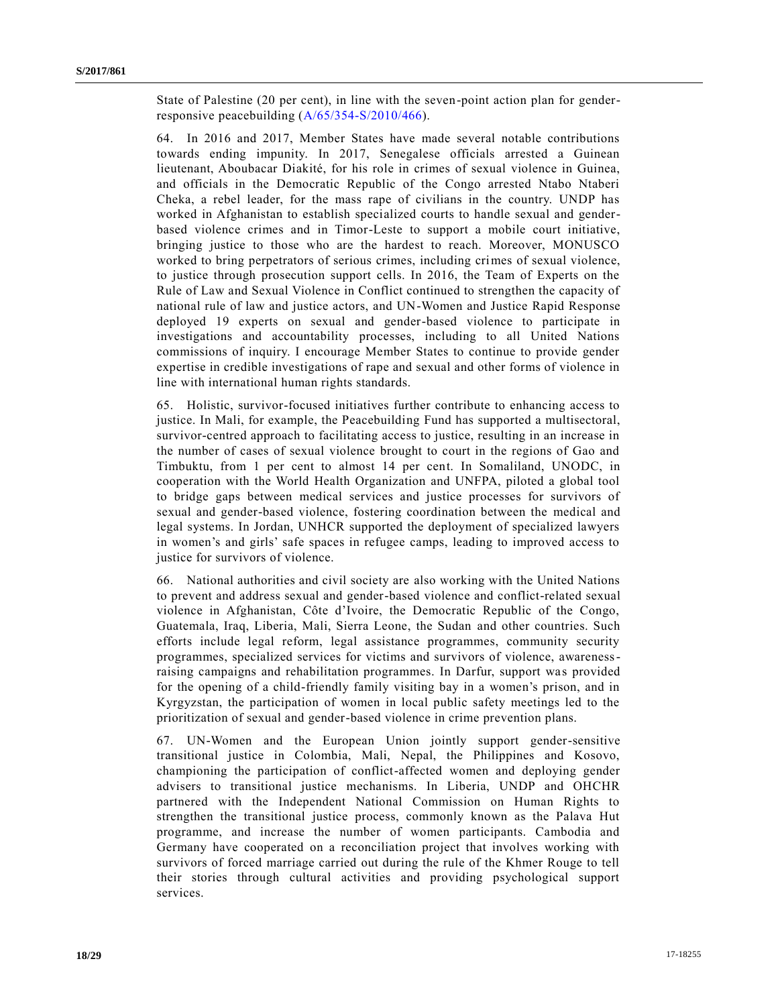State of Palestine (20 per cent), in line with the seven-point action plan for genderresponsive peacebuilding [\(A/65/354-S/2010/466\)](https://undocs.org/A/65/354).

64. In 2016 and 2017, Member States have made several notable contributions towards ending impunity. In 2017, Senegalese officials arrested a Guinean lieutenant, Aboubacar Diakité, for his role in crimes of sexual violence in Guinea, and officials in the Democratic Republic of the Congo arrested Ntabo Ntaberi Cheka, a rebel leader, for the mass rape of civilians in the country. UNDP has worked in Afghanistan to establish specialized courts to handle sexual and genderbased violence crimes and in Timor-Leste to support a mobile court initiative, bringing justice to those who are the hardest to reach. Moreover, MONUSCO worked to bring perpetrators of serious crimes, including crimes of sexual violence, to justice through prosecution support cells. In 2016, the Team of Experts on the Rule of Law and Sexual Violence in Conflict continued to strengthen the capacity of national rule of law and justice actors, and UN-Women and Justice Rapid Response deployed 19 experts on sexual and gender-based violence to participate in investigations and accountability processes, including to all United Nations commissions of inquiry. I encourage Member States to continue to provide gender expertise in credible investigations of rape and sexual and other forms of violence in line with international human rights standards.

65. Holistic, survivor-focused initiatives further contribute to enhancing access to justice. In Mali, for example, the Peacebuilding Fund has supported a multisectoral, survivor-centred approach to facilitating access to justice, resulting in an increase in the number of cases of sexual violence brought to court in the regions of Gao and Timbuktu, from 1 per cent to almost 14 per cent. In Somaliland, UNODC, in cooperation with the World Health Organization and UNFPA, piloted a global tool to bridge gaps between medical services and justice processes for survivors of sexual and gender-based violence, fostering coordination between the medical and legal systems. In Jordan, UNHCR supported the deployment of specialized lawyers in women's and girls' safe spaces in refugee camps, leading to improved access to justice for survivors of violence.

66. National authorities and civil society are also working with the United Nations to prevent and address sexual and gender-based violence and conflict-related sexual violence in Afghanistan, Côte d'Ivoire, the Democratic Republic of the Congo, Guatemala, Iraq, Liberia, Mali, Sierra Leone, the Sudan and other countries. Such efforts include legal reform, legal assistance programmes, community security programmes, specialized services for victims and survivors of violence, awarenessraising campaigns and rehabilitation programmes. In Darfur, support wa s provided for the opening of a child-friendly family visiting bay in a women's prison, and in Kyrgyzstan, the participation of women in local public safety meetings led to the prioritization of sexual and gender-based violence in crime prevention plans.

67. UN-Women and the European Union jointly support gender-sensitive transitional justice in Colombia, Mali, Nepal, the Philippines and Kosovo, championing the participation of conflict-affected women and deploying gender advisers to transitional justice mechanisms. In Liberia, UNDP and OHCHR partnered with the Independent National Commission on Human Rights to strengthen the transitional justice process, commonly known as the Palava Hut programme, and increase the number of women participants. Cambodia and Germany have cooperated on a reconciliation project that involves working with survivors of forced marriage carried out during the rule of the Khmer Rouge to tell their stories through cultural activities and providing psychological support services.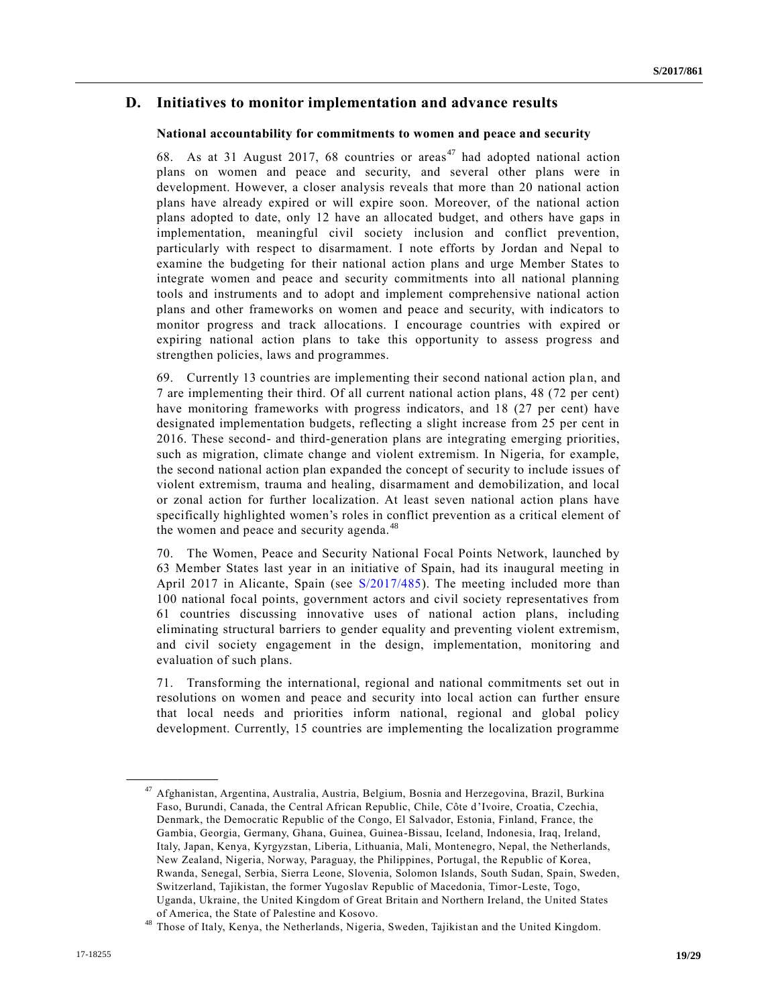## **D. Initiatives to monitor implementation and advance results**

#### **National accountability for commitments to women and peace and security**

68. As at 31 August 2017, 68 countries or areas<sup> $47$ </sup> had adopted national action plans on women and peace and security, and several other plans were in development. However, a closer analysis reveals that more than 20 national action plans have already expired or will expire soon. Moreover, of the national action plans adopted to date, only 12 have an allocated budget, and others have gaps in implementation, meaningful civil society inclusion and conflict prevention, particularly with respect to disarmament. I note efforts by Jordan and Nepal to examine the budgeting for their national action plans and urge Member States to integrate women and peace and security commitments into all national planning tools and instruments and to adopt and implement comprehensive national action plans and other frameworks on women and peace and security, with indicators to monitor progress and track allocations. I encourage countries with expired or expiring national action plans to take this opportunity to assess progress and strengthen policies, laws and programmes.

69. Currently 13 countries are implementing their second national action plan, and 7 are implementing their third. Of all current national action plans, 48 (72 per cent) have monitoring frameworks with progress indicators, and 18 (27 per cent) have designated implementation budgets, reflecting a slight increase from 25 per cent in 2016. These second- and third-generation plans are integrating emerging priorities, such as migration, climate change and violent extremism. In Nigeria, for example, the second national action plan expanded the concept of security to include issues of violent extremism, trauma and healing, disarmament and demobilization, and local or zonal action for further localization. At least seven national action plans have specifically highlighted women's roles in conflict prevention as a critical element of the women and peace and security agenda.<sup>48</sup>

70. The Women, Peace and Security National Focal Points Network, launched by 63 Member States last year in an initiative of Spain, had its inaugural meeting in April 2017 in Alicante, Spain (see [S/2017/485\)](https://undocs.org/S/2017/485). The meeting included more than 100 national focal points, government actors and civil society representatives from 61 countries discussing innovative uses of national action plans, including eliminating structural barriers to gender equality and preventing violent extremism, and civil society engagement in the design, implementation, monitoring and evaluation of such plans.

71. Transforming the international, regional and national commitments set out in resolutions on women and peace and security into local action can further ensure that local needs and priorities inform national, regional and global policy development. Currently, 15 countries are implementing the localization programme

<sup>&</sup>lt;sup>47</sup> Afghanistan, Argentina, Australia, Austria, Belgium, Bosnia and Herzegovina, Brazil, Burkina Faso, Burundi, Canada, the Central African Republic, Chile, Côte d'Ivoire, Croatia, Czechia, Denmark, the Democratic Republic of the Congo, El Salvador, Estonia, Finland, France, the Gambia, Georgia, Germany, Ghana, Guinea, Guinea-Bissau, Iceland, Indonesia, Iraq, Ireland, Italy, Japan, Kenya, Kyrgyzstan, Liberia, Lithuania, Mali, Montenegro, Nepal, the Netherlands, New Zealand, Nigeria, Norway, Paraguay, the Philippines, Portugal, the Republic of Korea, Rwanda, Senegal, Serbia, Sierra Leone, Slovenia, Solomon Islands, South Sudan, Spain, Sweden, Switzerland, Tajikistan, the former Yugoslav Republic of Macedonia, Timor-Leste, Togo, Uganda, Ukraine, the United Kingdom of Great Britain and Northern Ireland, the United States of America, the State of Palestine and Kosovo.

<sup>&</sup>lt;sup>48</sup> Those of Italy, Kenya, the Netherlands, Nigeria, Sweden, Tajikistan and the United Kingdom.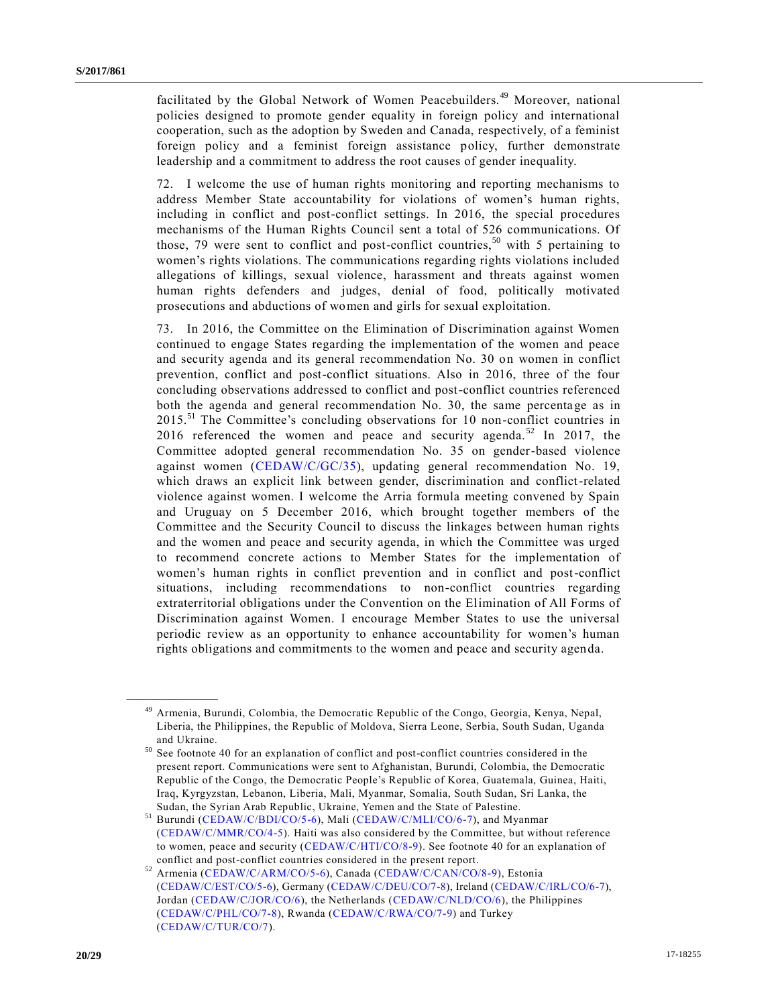facilitated by the Global Network of Women Peacebuilders.<sup>49</sup> Moreover, national policies designed to promote gender equality in foreign policy and international cooperation, such as the adoption by Sweden and Canada, respectively, of a feminist foreign policy and a feminist foreign assistance policy, further demonstrate leadership and a commitment to address the root causes of gender inequality.

72. I welcome the use of human rights monitoring and reporting mechanisms to address Member State accountability for violations of women's human rights, including in conflict and post-conflict settings. In 2016, the special procedures mechanisms of the Human Rights Council sent a total of 526 communications. Of those, 79 were sent to conflict and post-conflict countries,  $50$  with 5 pertaining to women's rights violations. The communications regarding rights violations included allegations of killings, sexual violence, harassment and threats against women human rights defenders and judges, denial of food, politically motivated prosecutions and abductions of women and girls for sexual exploitation.

73. In 2016, the Committee on the Elimination of Discrimination against Women continued to engage States regarding the implementation of the women and peace and security agenda and its general recommendation No. 30 on women in conflict prevention, conflict and post-conflict situations. Also in 2016, three of the four concluding observations addressed to conflict and post-conflict countries referenced both the agenda and general recommendation No. 30, the same percentage as in 2015.<sup>51</sup> The Committee's concluding observations for 10 non-conflict countries in 2016 referenced the women and peace and security agenda.<sup>52</sup> In 2017, the Committee adopted general recommendation No. 35 on gender-based violence against women [\(CEDAW/C/GC/35\)](https://undocs.org/CEDAW/C/GC/35), updating general recommendation No. 19, which draws an explicit link between gender, discrimination and conflict-related violence against women. I welcome the Arria formula meeting convened by Spain and Uruguay on 5 December 2016, which brought together members of the Committee and the Security Council to discuss the linkages between human rights and the women and peace and security agenda, in which the Committee was urged to recommend concrete actions to Member States for the implementation of women's human rights in conflict prevention and in conflict and post-conflict situations, including recommendations to non-conflict countries regarding extraterritorial obligations under the Convention on the Elimination of All Forms of Discrimination against Women. I encourage Member States to use the universal periodic review as an opportunity to enhance accountability for women's human rights obligations and commitments to the women and peace and security agenda.

<sup>&</sup>lt;sup>49</sup> Armenia, Burundi, Colombia, the Democratic Republic of the Congo, Georgia, Kenya, Nepal, Liberia, the Philippines, the Republic of Moldova, Sierra Leone, Serbia, South Sudan, Uganda and Ukraine.

<sup>50</sup> See footnote 40 for an explanation of conflict and post-conflict countries considered in the present report. Communications were sent to Afghanistan, Burundi, Colombia, the Democratic Republic of the Congo, the Democratic People's Republic of Korea, Guatemala, Guinea, Haiti, Iraq, Kyrgyzstan, Lebanon, Liberia, Mali, Myanmar, Somalia, South Sudan, Sri Lanka, the Sudan, the Syrian Arab Republic, Ukraine, Yemen and the State of Palestine.

<sup>51</sup> Burundi [\(CEDAW/C/BDI/CO/5-6\)](https://undocs.org/CEDAW/C/BDI/CO/5), Mali [\(CEDAW/C/MLI/CO/6-7\)](https://undocs.org/CEDAW/C/MLI/CO/6), and Myanmar [\(CEDAW/C/MMR/CO/4-5\)](https://undocs.org/CEDAW/C/MMR/CO/4). Haiti was also considered by the Committee, but without reference to women, peace and security [\(CEDAW/C/HTI/CO/8-9\)](https://undocs.org/CEDAW/C/HTI/CO/8). See footnote 40 for an explanation of conflict and post-conflict countries considered in the present report.

<sup>52</sup> Armenia [\(CEDAW/C/ARM/CO/5-6\)](https://undocs.org/CEDAW/C/ARM/CO/5), Canada [\(CEDAW/C/CAN/CO/8-9\)](https://undocs.org/CEDAW/C/CAN/CO/8), Estonia [\(CEDAW/C/EST/CO/5-6\)](https://undocs.org/CEDAW/C/EST/CO/5), Germany [\(CEDAW/C/DEU/CO/7-8\)](https://undocs.org/CEDAW/C/DEU/CO/7), Ireland [\(CEDAW/C/IRL/CO/6-7\)](https://undocs.org/CEDAW/C/IRL/CO/6), Jordan [\(CEDAW/C/JOR/CO/6\)](https://undocs.org/CEDAW/C/JOR/CO/6), the Netherlands [\(CEDAW/C/NLD/CO/6\)](https://undocs.org/CEDAW/C/NLD/CO/6), the Philippines [\(CEDAW/C/PHL/CO/7-8\)](https://undocs.org/CEDAW/C/PHL/CO/7), Rwanda [\(CEDAW/C/RWA/CO/7-9\)](https://undocs.org/CEDAW/C/RWA/CO/7) and Turkey [\(CEDAW/C/TUR/CO/7\)](https://undocs.org/CEDAW/C/TUR/CO/7).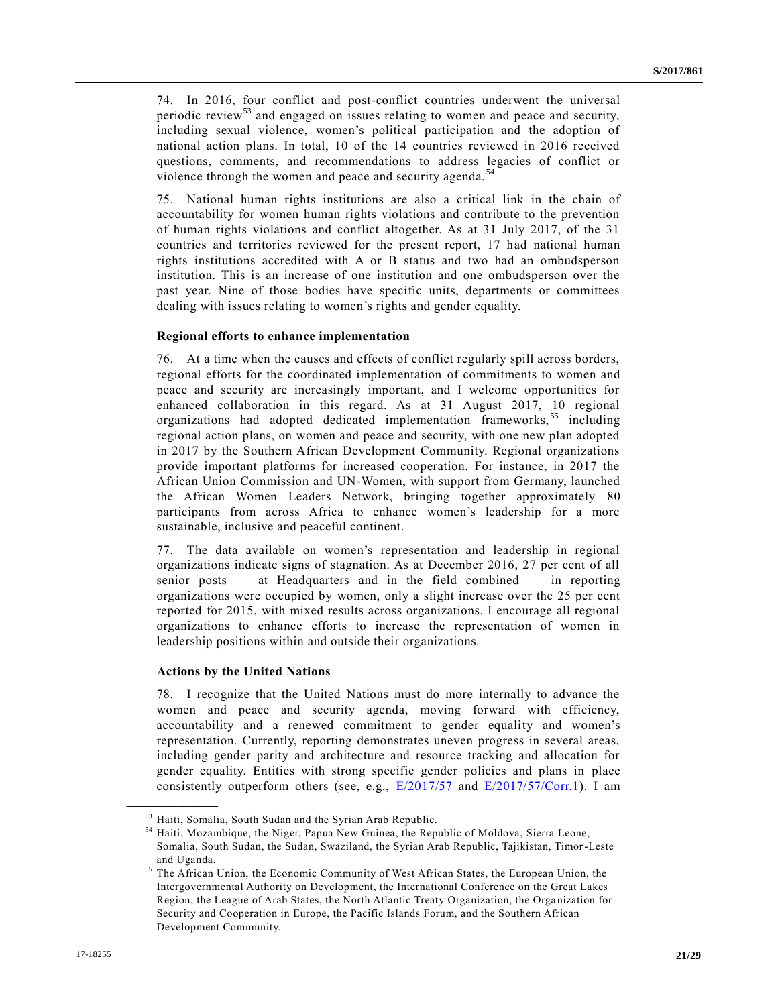74. In 2016, four conflict and post-conflict countries underwent the universal periodic review<sup>53</sup> and engaged on issues relating to women and peace and security, including sexual violence, women's political participation and the adoption of national action plans. In total, 10 of the 14 countries reviewed in 2016 received questions, comments, and recommendations to address legacies of conflict or violence through the women and peace and security agenda. <sup>54</sup>

75. National human rights institutions are also a critical link in the chain of accountability for women human rights violations and contribute to the prevention of human rights violations and conflict altogether. As at 31 July 2017, of the 31 countries and territories reviewed for the present report, 17 had national human rights institutions accredited with A or B status and two had an ombudsperson institution. This is an increase of one institution and one ombudsperson over the past year. Nine of those bodies have specific units, departments or committees dealing with issues relating to women's rights and gender equality.

#### **Regional efforts to enhance implementation**

76. At a time when the causes and effects of conflict regularly spill across borders, regional efforts for the coordinated implementation of commitments to women and peace and security are increasingly important, and I welcome opportunities for enhanced collaboration in this regard. As at 31 August 2017, 10 regional organizations had adopted dedicated implementation frameworks, <sup>55</sup> including regional action plans, on women and peace and security, with one new plan adopted in 2017 by the Southern African Development Community. Regional organizations provide important platforms for increased cooperation. For instance, in 2017 the African Union Commission and UN-Women, with support from Germany, launched the African Women Leaders Network, bringing together approximately 80 participants from across Africa to enhance women's leadership for a more sustainable, inclusive and peaceful continent.

77. The data available on women's representation and leadership in regional organizations indicate signs of stagnation. As at December 2016, 27 per cent of all senior posts — at Headquarters and in the field combined — in reporting organizations were occupied by women, only a slight increase over the 25 per cent reported for 2015, with mixed results across organizations. I encourage all regional organizations to enhance efforts to increase the representation of women in leadership positions within and outside their organizations.

### **Actions by the United Nations**

**\_\_\_\_\_\_\_\_\_\_\_\_\_\_\_\_\_\_**

78. I recognize that the United Nations must do more internally to advance the women and peace and security agenda, moving forward with efficiency, accountability and a renewed commitment to gender equality and women's representation. Currently, reporting demonstrates uneven progress in several areas, including gender parity and architecture and resource tracking and allocation for gender equality. Entities with strong specific gender policies and plans in place consistently outperform others (see, e.g.,  $E/2017/57$  and  $E/2017/57/Corr.1$ ). I am

 $^{53}$  Haiti, Somalia, South Sudan and the Syrian Arab Republic.<br> $^{54}$  Haiti, Mozambique, the Niger, Benue New Guinee, the Benue

<sup>54</sup> Haiti, Mozambique, the Niger, Papua New Guinea, the Republic of Moldova, Sierra Leone, Somalia, South Sudan, the Sudan, Swaziland, the Syrian Arab Republic, Tajikistan, Timor-Leste and Uganda.

<sup>&</sup>lt;sup>55</sup> The African Union, the Economic Community of West African States, the European Union, the Intergovernmental Authority on Development, the International Conference on the Great Lakes Region, the League of Arab States, the North Atlantic Treaty Organization, the Organization for Security and Cooperation in Europe, the Pacific Islands Forum, and the Southern African Development Community.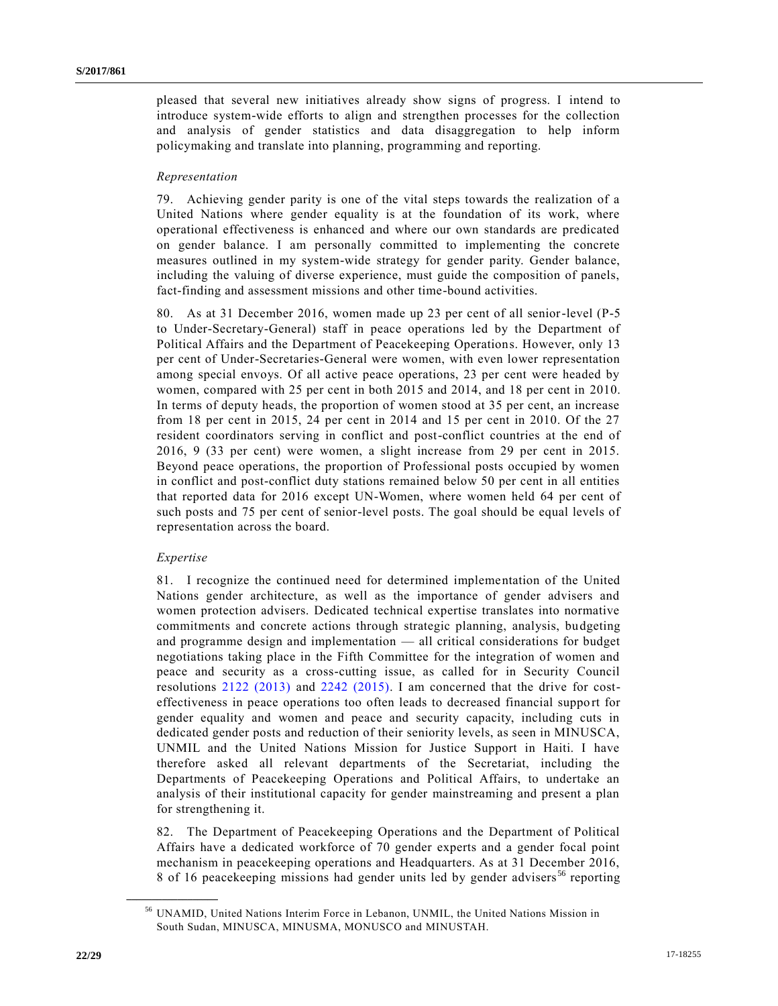pleased that several new initiatives already show signs of progress. I intend to introduce system-wide efforts to align and strengthen processes for the collection and analysis of gender statistics and data disaggregation to help inform policymaking and translate into planning, programming and reporting.

#### *Representation*

79. Achieving gender parity is one of the vital steps towards the realization of a United Nations where gender equality is at the foundation of its work, where operational effectiveness is enhanced and where our own standards are predicated on gender balance. I am personally committed to implementing the concrete measures outlined in my system-wide strategy for gender parity. Gender balance, including the valuing of diverse experience, must guide the composition of panels, fact-finding and assessment missions and other time-bound activities.

80. As at 31 December 2016, women made up 23 per cent of all senior-level (P-5 to Under-Secretary-General) staff in peace operations led by the Department of Political Affairs and the Department of Peacekeeping Operations. However, only 13 per cent of Under-Secretaries-General were women, with even lower representation among special envoys. Of all active peace operations, 23 per cent were headed by women, compared with 25 per cent in both 2015 and 2014, and 18 per cent in 2010. In terms of deputy heads, the proportion of women stood at 35 per cent, an increase from 18 per cent in 2015, 24 per cent in 2014 and 15 per cent in 2010. Of the 27 resident coordinators serving in conflict and post-conflict countries at the end of 2016, 9 (33 per cent) were women, a slight increase from 29 per cent in 2015. Beyond peace operations, the proportion of Professional posts occupied by women in conflict and post-conflict duty stations remained below 50 per cent in all entities that reported data for 2016 except UN-Women, where women held 64 per cent of such posts and 75 per cent of senior-level posts. The goal should be equal levels of representation across the board.

#### *Expertise*

**\_\_\_\_\_\_\_\_\_\_\_\_\_\_\_\_\_\_**

81. I recognize the continued need for determined implementation of the United Nations gender architecture, as well as the importance of gender advisers and women protection advisers. Dedicated technical expertise translates into normative commitments and concrete actions through strategic planning, analysis, budgeting and programme design and implementation — all critical considerations for budget negotiations taking place in the Fifth Committee for the integration of women and peace and security as a cross-cutting issue, as called for in Security Council resolutions [2122 \(2013\)](https://undocs.org/S/RES/2122(2013)) and [2242 \(2015\).](https://undocs.org/S/RES/2242(2015)) I am concerned that the drive for costeffectiveness in peace operations too often leads to decreased financial support for gender equality and women and peace and security capacity, including cuts in dedicated gender posts and reduction of their seniority levels, as seen in MINUSCA, UNMIL and the United Nations Mission for Justice Support in Haiti. I have therefore asked all relevant departments of the Secretariat, including the Departments of Peacekeeping Operations and Political Affairs, to undertake an analysis of their institutional capacity for gender mainstreaming and present a plan for strengthening it.

82. The Department of Peacekeeping Operations and the Department of Political Affairs have a dedicated workforce of 70 gender experts and a gender focal point mechanism in peacekeeping operations and Headquarters. As at 31 December 2016, 8 of 16 peacekeeping missions had gender units led by gender advisers<sup>56</sup> reporting

<sup>56</sup> UNAMID, United Nations Interim Force in Lebanon, UNMIL, the United Nations Mission in South Sudan, MINUSCA, MINUSMA, MONUSCO and MINUSTAH.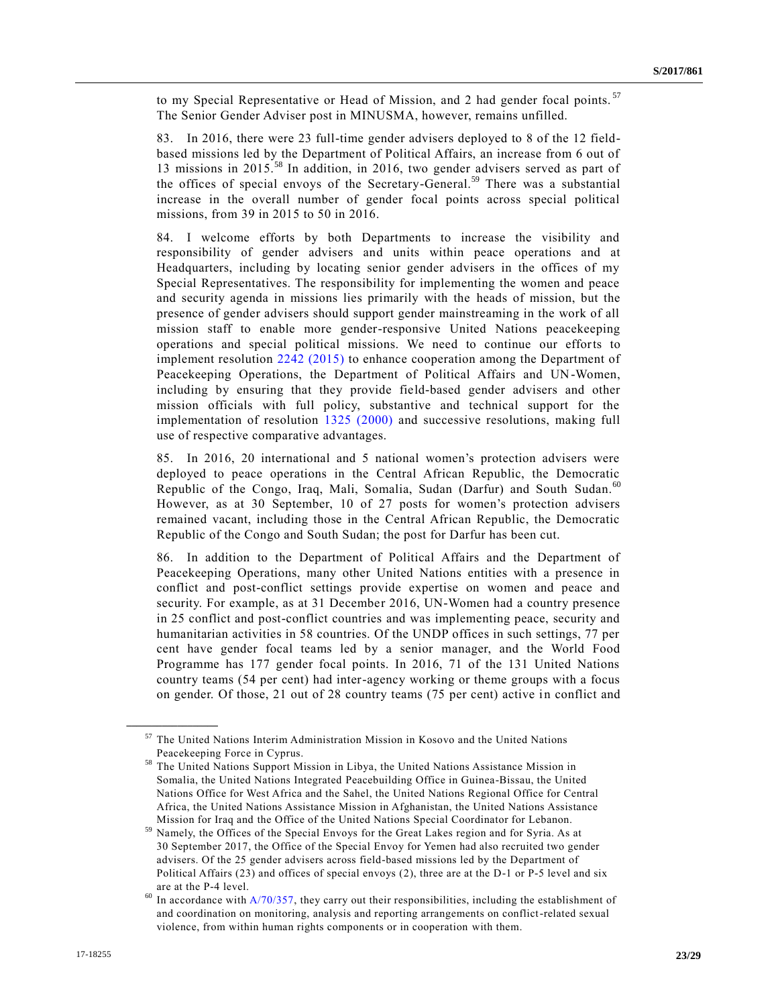to my Special Representative or Head of Mission, and 2 had gender focal points.<sup>57</sup> The Senior Gender Adviser post in MINUSMA, however, remains unfilled.

83. In 2016, there were 23 full-time gender advisers deployed to 8 of the 12 fieldbased missions led by the Department of Political Affairs, an increase from 6 out of 13 missions in 2015.<sup>58</sup> In addition, in 2016, two gender advisers served as part of the offices of special envoys of the Secretary-General.<sup>59</sup> There was a substantial increase in the overall number of gender focal points across special political missions, from 39 in 2015 to 50 in 2016.

84. I welcome efforts by both Departments to increase the visibility and responsibility of gender advisers and units within peace operations and at Headquarters, including by locating senior gender advisers in the offices of my Special Representatives. The responsibility for implementing the women and peace and security agenda in missions lies primarily with the heads of mission, but the presence of gender advisers should support gender mainstreaming in the work of all mission staff to enable more gender-responsive United Nations peacekeeping operations and special political missions. We need to continue our efforts to implement resolution [2242 \(2015\)](https://undocs.org/S/RES/2242(2015)) to enhance cooperation among the Department of Peacekeeping Operations, the Department of Political Affairs and UN-Women, including by ensuring that they provide field-based gender advisers and other mission officials with full policy, substantive and technical support for the implementation of resolution [1325 \(2000\)](https://undocs.org/S/RES/1325(2000)) and successive resolutions, making full use of respective comparative advantages.

85. In 2016, 20 international and 5 national women's protection advisers were deployed to peace operations in the Central African Republic, the Democratic Republic of the Congo, Iraq, Mali, Somalia, Sudan (Darfur) and South Sudan.<sup>60</sup> However, as at 30 September, 10 of 27 posts for women's protection advisers remained vacant, including those in the Central African Republic, the Democratic Republic of the Congo and South Sudan; the post for Darfur has been cut.

86. In addition to the Department of Political Affairs and the Department of Peacekeeping Operations, many other United Nations entities with a presence in conflict and post-conflict settings provide expertise on women and peace and security. For example, as at 31 December 2016, UN-Women had a country presence in 25 conflict and post-conflict countries and was implementing peace, security and humanitarian activities in 58 countries. Of the UNDP offices in such settings, 77 per cent have gender focal teams led by a senior manager, and the World Food Programme has 177 gender focal points. In 2016, 71 of the 131 United Nations country teams (54 per cent) had inter-agency working or theme groups with a focus on gender. Of those, 21 out of 28 country teams (75 per cent) active in conflict and

<sup>57</sup> The United Nations Interim Administration Mission in Kosovo and the United Nations Peacekeeping Force in Cyprus.

<sup>58</sup> The United Nations Support Mission in Libya, the United Nations Assistance Mission in Somalia, the United Nations Integrated Peacebuilding Office in Guinea-Bissau, the United Nations Office for West Africa and the Sahel, the United Nations Regional Office for Central Africa, the United Nations Assistance Mission in Afghanistan, the United Nations Assistance Mission for Iraq and the Office of the United Nations Special Coordinator for Lebanon.

<sup>59</sup> Namely, the Offices of the Special Envoys for the Great Lakes region and for Syria. As at 30 September 2017, the Office of the Special Envoy for Yemen had also recruited two gender advisers. Of the 25 gender advisers across field-based missions led by the Department of Political Affairs (23) and offices of special envoys (2), three are at the D-1 or P-5 level and six are at the P-4 level.

 $60$  In accordance with [A/70/357,](https://undocs.org/A/70/357) they carry out their responsibilities, including the establishment of and coordination on monitoring, analysis and reporting arrangements on conflict-related sexual violence, from within human rights components or in cooperation with them.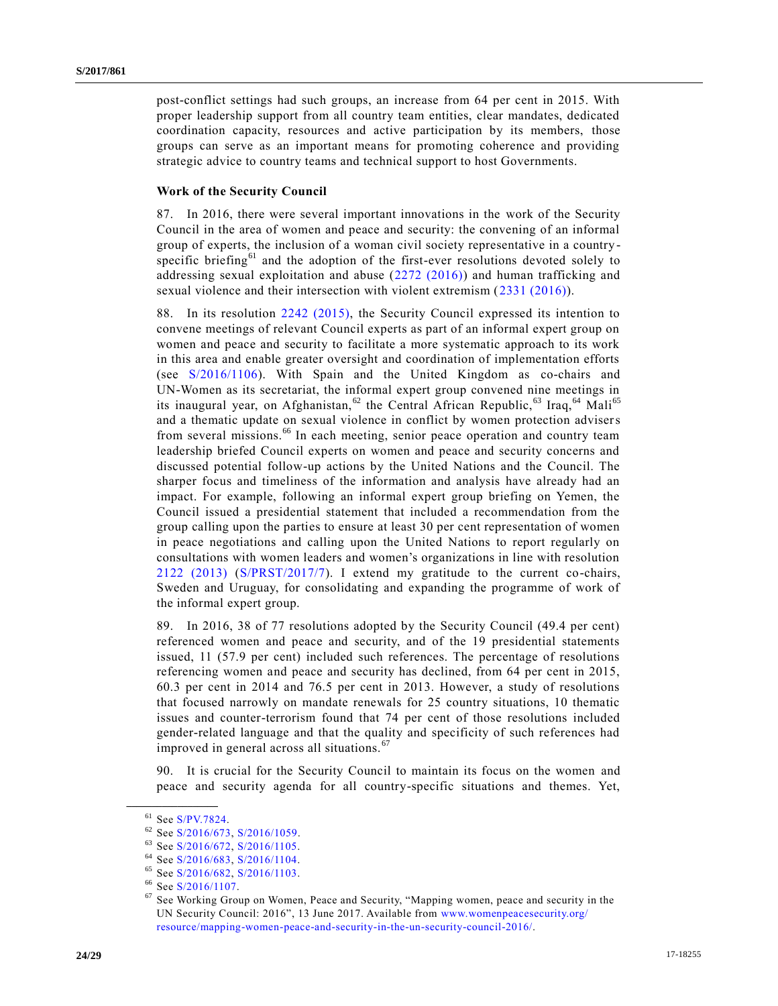post-conflict settings had such groups, an increase from 64 per cent in 2015. With proper leadership support from all country team entities, clear mandates, dedicated coordination capacity, resources and active participation by its members, those groups can serve as an important means for promoting coherence and providing strategic advice to country teams and technical support to host Governments.

#### **Work of the Security Council**

87. In 2016, there were several important innovations in the work of the Security Council in the area of women and peace and security: the convening of an informal group of experts, the inclusion of a woman civil society representative in a country specific briefing<sup>61</sup> and the adoption of the first-ever resolutions devoted solely to addressing sexual exploitation and abuse [\(2272 \(2016\)\)](https://undocs.org/S/RES/2272(2016)) and human trafficking and sexual violence and their intersection with violent extremism [\(2331 \(2016\)\)](https://undocs.org/S/RES/2331(2016)).

88. In its resolution [2242 \(2015\),](https://undocs.org/S/RES/2242(2015)) the Security Council expressed its intention to convene meetings of relevant Council experts as part of an informal expert group on women and peace and security to facilitate a more systematic approach to its work in this area and enable greater oversight and coordination of implementation efforts (see [S/2016/1106\)](https://undocs.org/S/2016/1106). With Spain and the United Kingdom as co-chairs and UN-Women as its secretariat, the informal expert group convened nine meetings in its inaugural year, on Afghanistan,  $62$  the Central African Republic,  $63$  Iraq,  $64$  Mali<sup>65</sup> and a thematic update on sexual violence in conflict by women protection advisers from several missions.<sup>66</sup> In each meeting, senior peace operation and country team leadership briefed Council experts on women and peace and security concerns and discussed potential follow-up actions by the United Nations and the Council. The sharper focus and timeliness of the information and analysis have already had an impact. For example, following an informal expert group briefing on Yemen, the Council issued a presidential statement that included a recommendation from the group calling upon the parties to ensure at least 30 per cent representation of women in peace negotiations and calling upon the United Nations to report regularly on consultations with women leaders and women's organizations in line with resolution [2122 \(2013\)](https://undocs.org/S/RES/2122(2013)) [\(S/PRST/2017/7\)](https://undocs.org/S/PRST/2017/7). I extend my gratitude to the current co-chairs, Sweden and Uruguay, for consolidating and expanding the programme of work of the informal expert group.

89. In 2016, 38 of 77 resolutions adopted by the Security Council (49.4 per cent) referenced women and peace and security, and of the 19 presidential statements issued, 11 (57.9 per cent) included such references. The percentage of resolutions referencing women and peace and security has declined, from 64 per cent in 2015, 60.3 per cent in 2014 and 76.5 per cent in 2013. However, a study of resolutions that focused narrowly on mandate renewals for 25 country situations, 10 thematic issues and counter-terrorism found that 74 per cent of those resolutions included gender-related language and that the quality and specificity of such references had improved in general across all situations. <sup>67</sup>

90. It is crucial for the Security Council to maintain its focus on the women and peace and security agenda for all country-specific situations and themes. Yet,

 $61$  See [S/PV.7824.](https://undocs.org/S/PV.7824)

<sup>&</sup>lt;sup>62</sup> See [S/2016/673,](https://undocs.org/S/2016/673) [S/2016/1059.](https://undocs.org/S/2016/1059)<br><sup>63</sup> See S/2016/672, S/2016/1105

 $^{63}$  See [S/2016/672,](https://undocs.org/S/2016/672) [S/2016/1105.](https://undocs.org/S/2016/1105)<br> $^{64}$  See S/2016/683, S/2016/1104

See [S/2016/683,](https://undocs.org/S/2016/683) [S/2016/1104.](https://undocs.org/S/2016/1104)

<sup>65</sup> See [S/2016/682,](https://undocs.org/S/2016/682) [S/2016/1103.](https://undocs.org/S/2016/1103)

 $^{66}$  See [S/2016/1107.](https://undocs.org/S/2016/1107)

See Working Group on Women, Peace and Security, "Mapping women, peace and security in the UN Security Council: 2016", 13 June 2017. Available from [www.womenpeacesecurity.org/](http://www.womenpeacesecurity.org/resource/mapping-women-peace-and-security-in-the-un-security-council-2016/) [resource/mapping-women-peace-and-security-in-the-un-security-council-2016/.](http://www.womenpeacesecurity.org/resource/mapping-women-peace-and-security-in-the-un-security-council-2016/)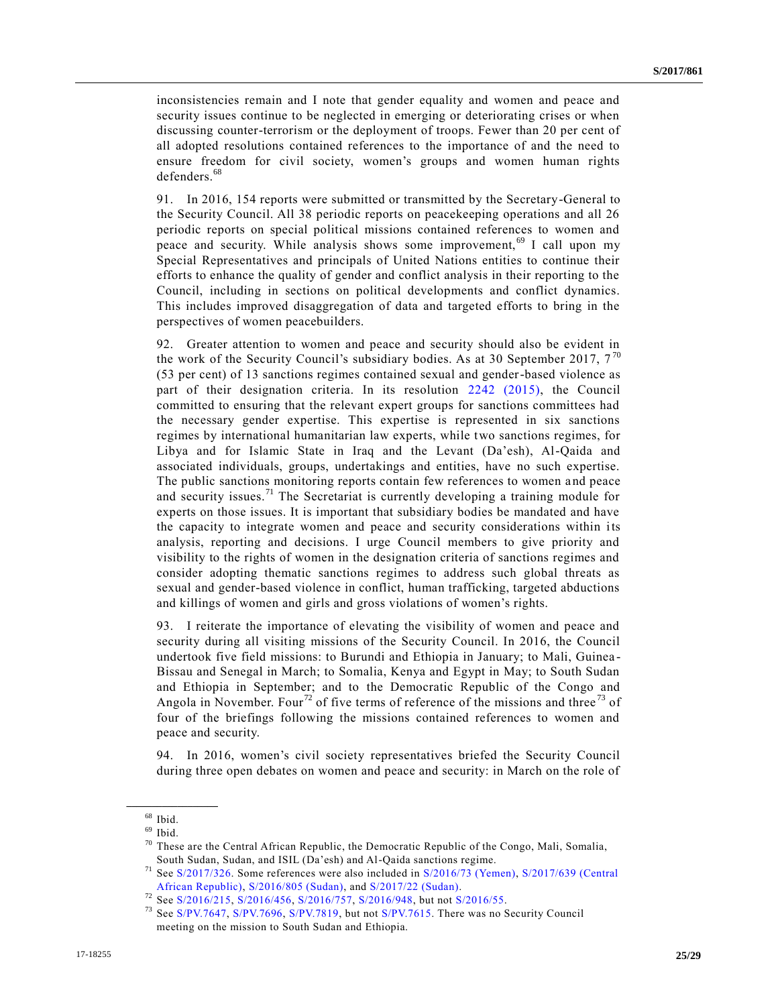inconsistencies remain and I note that gender equality and women and peace and security issues continue to be neglected in emerging or deteriorating crises or when discussing counter-terrorism or the deployment of troops. Fewer than 20 per cent of all adopted resolutions contained references to the importance of and the need to ensure freedom for civil society, women's groups and women human rights defenders.<sup>68</sup>

91. In 2016, 154 reports were submitted or transmitted by the Secretary-General to the Security Council. All 38 periodic reports on peacekeeping operations and all 26 periodic reports on special political missions contained references to women and peace and security. While analysis shows some improvement,<sup>69</sup> I call upon my Special Representatives and principals of United Nations entities to continue their efforts to enhance the quality of gender and conflict analysis in their reporting to the Council, including in sections on political developments and conflict dynamics. This includes improved disaggregation of data and targeted efforts to bring in the perspectives of women peacebuilders.

92. Greater attention to women and peace and security should also be evident in the work of the Security Council's subsidiary bodies. As at 30 September 2017,  $7^{70}$ (53 per cent) of 13 sanctions regimes contained sexual and gender-based violence as part of their designation criteria. In its resolution [2242 \(2015\),](https://undocs.org/S/RES/2242(2015)) the Council committed to ensuring that the relevant expert groups for sanctions committees had the necessary gender expertise. This expertise is represented in six sanctions regimes by international humanitarian law experts, while two sanctions regimes, for Libya and for Islamic State in Iraq and the Levant (Da'esh), Al-Qaida and associated individuals, groups, undertakings and entities, have no such expertise. The public sanctions monitoring reports contain few references to women and peace and security issues.<sup>71</sup> The Secretariat is currently developing a training module for experts on those issues. It is important that subsidiary bodies be mandated and have the capacity to integrate women and peace and security considerations within its analysis, reporting and decisions. I urge Council members to give priority and visibility to the rights of women in the designation criteria of sanctions regimes and consider adopting thematic sanctions regimes to address such global threats as sexual and gender-based violence in conflict, human trafficking, targeted abductions and killings of women and girls and gross violations of women's rights.

93. I reiterate the importance of elevating the visibility of women and peace and security during all visiting missions of the Security Council. In 2016, the Council undertook five field missions: to Burundi and Ethiopia in January; to Mali, Guinea - Bissau and Senegal in March; to Somalia, Kenya and Egypt in May; to South Sudan and Ethiopia in September; and to the Democratic Republic of the Congo and Angola in November. Four<sup>72</sup> of five terms of reference of the missions and three<sup>73</sup> of four of the briefings following the missions contained references to women and peace and security.

94. In 2016, women's civil society representatives briefed the Security Council during three open debates on women and peace and security: in March on the role of

 $68$  Ibid.

 $69$  Ibid.

 $70$  These are the Central African Republic, the Democratic Republic of the Congo, Mali, Somalia, South Sudan, Sudan, and ISIL (Da'esh) and Al-Qaida sanctions regime.

<sup>71</sup> See [S/2017/326.](https://undocs.org/S/2017/326..) Some references were also included in [S/2016/73 \(Yemen\),](https://undocs.org/S/2016/73(Yemen)) [S/2017/639 \(Central](https://undocs.org/S/2017/639(CentralAfricanRepublic))  [African Republic\),](https://undocs.org/S/2017/639(CentralAfricanRepublic)) [S/2016/805 \(Sudan\),](https://undocs.org/S/2016/805(Sudan)) and [S/2017/22 \(Sudan\).](https://undocs.org/S/2017/22(Sudan))

 $72$  See [S/2016/215,](https://undocs.org/S/2016/215) [S/2016/456,](https://undocs.org/S/2016/456) [S/2016/757,](https://undocs.org/S/2016/757) [S/2016/948,](https://undocs.org/S/2016/948) but not [S/2016/55.](https://undocs.org/S/2016/55)

<sup>&</sup>lt;sup>73</sup> See [S/PV.7647,](https://undocs.org/S/PV.7647) [S/PV.7696,](https://undocs.org/S/PV.7696) [S/PV.7819,](https://undocs.org/S/PV.7819) but not [S/PV.7615.](https://undocs.org/S/PV.7615..) There was no Security Council meeting on the mission to South Sudan and Ethiopia.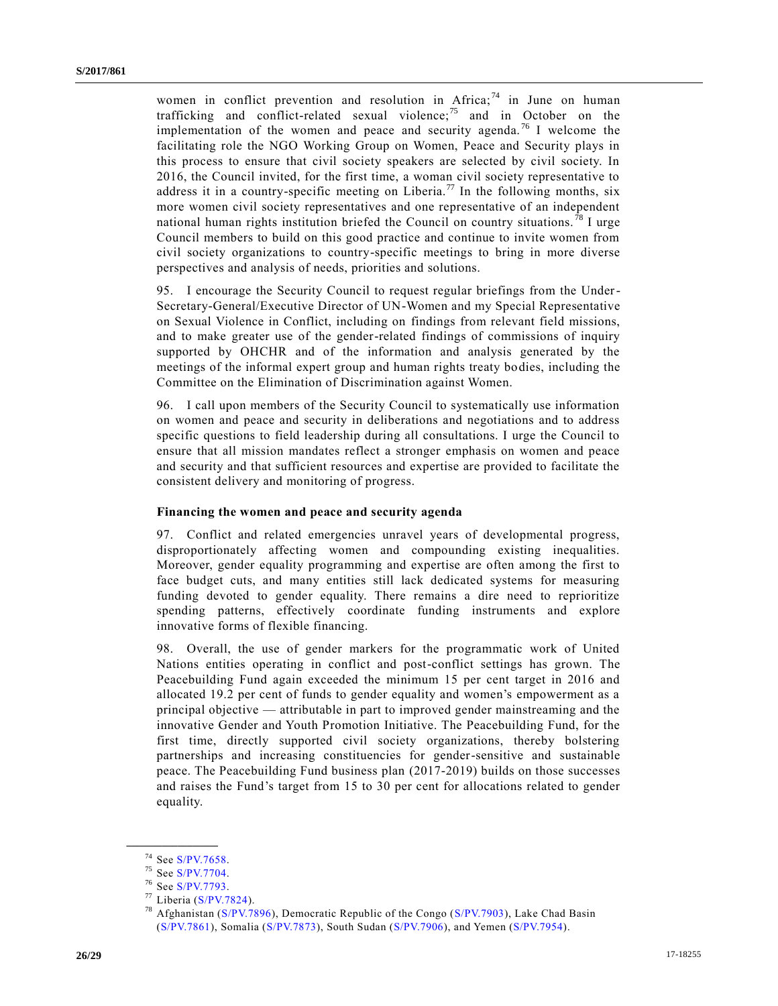women in conflict prevention and resolution in Africa;  $74$  in June on human trafficking and conflict-related sexual violence;<sup>75</sup> and in October on the implementation of the women and peace and security agenda.<sup>76</sup> I welcome the facilitating role the NGO Working Group on Women, Peace and Security plays in this process to ensure that civil society speakers are selected by civil society. In 2016, the Council invited, for the first time, a woman civil society representative to address it in a country-specific meeting on Liberia.<sup>77</sup> In the following months, six more women civil society representatives and one representative of an independent national human rights institution briefed the Council on country situations.<sup>78</sup> I urge Council members to build on this good practice and continue to invite women from civil society organizations to country-specific meetings to bring in more diverse perspectives and analysis of needs, priorities and solutions.

95. I encourage the Security Council to request regular briefings from the Under-Secretary-General/Executive Director of UN-Women and my Special Representative on Sexual Violence in Conflict, including on findings from relevant field missions, and to make greater use of the gender-related findings of commissions of inquiry supported by OHCHR and of the information and analysis generated by the meetings of the informal expert group and human rights treaty bodies, including the Committee on the Elimination of Discrimination against Women.

96. I call upon members of the Security Council to systematically use information on women and peace and security in deliberations and negotiations and to address specific questions to field leadership during all consultations. I urge the Council to ensure that all mission mandates reflect a stronger emphasis on women and peace and security and that sufficient resources and expertise are provided to facilitate the consistent delivery and monitoring of progress.

#### **Financing the women and peace and security agenda**

97. Conflict and related emergencies unravel years of developmental progress, disproportionately affecting women and compounding existing inequalities. Moreover, gender equality programming and expertise are often among the first to face budget cuts, and many entities still lack dedicated systems for measuring funding devoted to gender equality. There remains a dire need to reprioritize spending patterns, effectively coordinate funding instruments and explore innovative forms of flexible financing.

98. Overall, the use of gender markers for the programmatic work of United Nations entities operating in conflict and post-conflict settings has grown. The Peacebuilding Fund again exceeded the minimum 15 per cent target in 2016 and allocated 19.2 per cent of funds to gender equality and women's empowerment as a principal objective — attributable in part to improved gender mainstreaming and the innovative Gender and Youth Promotion Initiative. The Peacebuilding Fund, for the first time, directly supported civil society organizations, thereby bolstering partnerships and increasing constituencies for gender-sensitive and sustainable peace. The Peacebuilding Fund business plan (2017-2019) builds on those successes and raises the Fund's target from 15 to 30 per cent for allocations related to gender equality.

<sup>74</sup> See [S/PV.7658.](https://undocs.org/S/PV.7658)

<sup>75</sup> See [S/PV.7704.](https://undocs.org/S/PV.7704)

<sup>76</sup> See [S/PV.7793.](https://undocs.org/S/PV.7793)

 $77$  Liberia [\(S/PV.7824\)](https://undocs.org/S/PV.7824).

Afghanistan [\(S/PV.7896\)](https://undocs.org/S/PV.7896), Democratic Republic of the Congo [\(S/PV.7903\)](https://undocs.org/S/PV.7903), Lake Chad Basin [\(S/PV.7861\)](https://undocs.org/S/PV.7861), Somalia [\(S/PV.7873\)](https://undocs.org/S/PV.7873), South Sudan [\(S/PV.7906\)](https://undocs.org/S/PV.7906), and Yemen [\(S/PV.7954\)](https://undocs.org/S/PV.7954).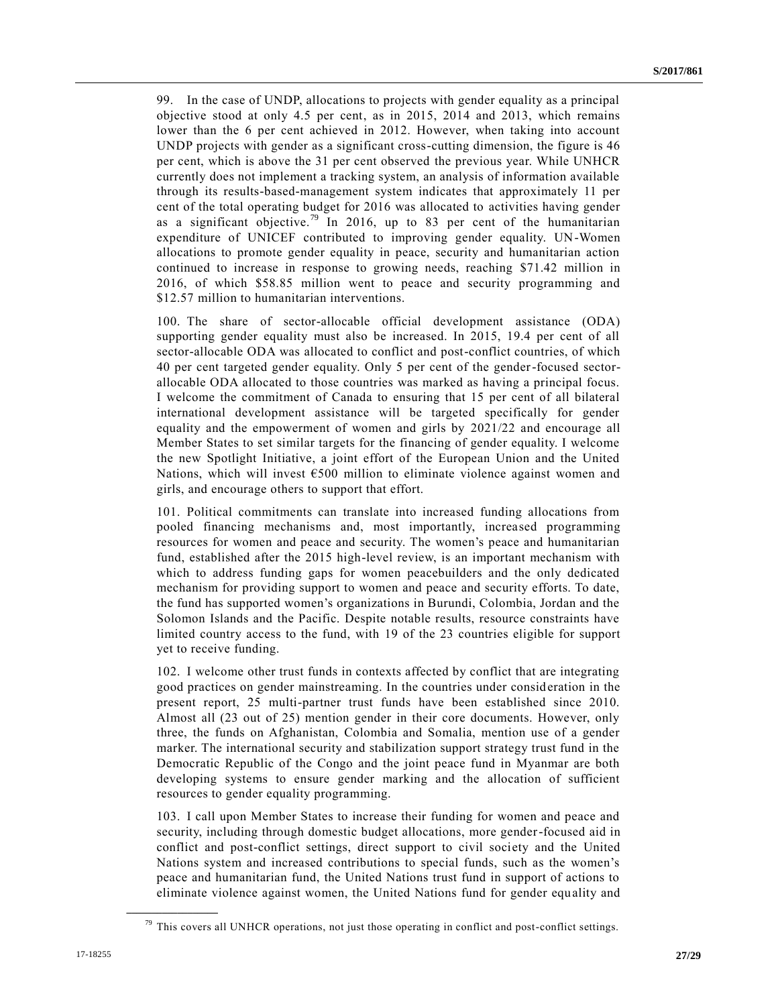99. In the case of UNDP, allocations to projects with gender equality as a principal objective stood at only 4.5 per cent, as in 2015, 2014 and 2013, which remains lower than the 6 per cent achieved in 2012. However, when taking into account UNDP projects with gender as a significant cross-cutting dimension, the figure is 46 per cent, which is above the 31 per cent observed the previous year. While UNHCR currently does not implement a tracking system, an analysis of information available through its results-based-management system indicates that approximately 11 per cent of the total operating budget for 2016 was allocated to activities having gender as a significant objective.<sup>79</sup> In 2016, up to 83 per cent of the humanitarian expenditure of UNICEF contributed to improving gender equality. UN-Women allocations to promote gender equality in peace, security and humanitarian action continued to increase in response to growing needs, reaching \$71.42 million in 2016, of which \$58.85 million went to peace and security programming and \$12.57 million to humanitarian interventions.

100. The share of sector-allocable official development assistance (ODA) supporting gender equality must also be increased. In 2015, 19.4 per cent of all sector-allocable ODA was allocated to conflict and post-conflict countries, of which 40 per cent targeted gender equality. Only 5 per cent of the gender-focused sectorallocable ODA allocated to those countries was marked as having a principal focus. I welcome the commitment of Canada to ensuring that 15 per cent of all bilateral international development assistance will be targeted specifically for gender equality and the empowerment of women and girls by 2021/22 and encourage all Member States to set similar targets for the financing of gender equality. I welcome the new Spotlight Initiative, a joint effort of the European Union and the United Nations, which will invest €500 million to eliminate violence against women and girls, and encourage others to support that effort.

101. Political commitments can translate into increased funding allocations from pooled financing mechanisms and, most importantly, increased programming resources for women and peace and security. The women's peace and humanitarian fund, established after the 2015 high-level review, is an important mechanism with which to address funding gaps for women peacebuilders and the only dedicated mechanism for providing support to women and peace and security efforts. To date, the fund has supported women's organizations in Burundi, Colombia, Jordan and the Solomon Islands and the Pacific. Despite notable results, resource constraints have limited country access to the fund, with 19 of the 23 countries eligible for support yet to receive funding.

102. I welcome other trust funds in contexts affected by conflict that are integrating good practices on gender mainstreaming. In the countries under consideration in the present report, 25 multi-partner trust funds have been established since 2010. Almost all (23 out of 25) mention gender in their core documents. However, only three, the funds on Afghanistan, Colombia and Somalia, mention use of a gender marker. The international security and stabilization support strategy trust fund in the Democratic Republic of the Congo and the joint peace fund in Myanmar are both developing systems to ensure gender marking and the allocation of sufficient resources to gender equality programming.

103. I call upon Member States to increase their funding for women and peace and security, including through domestic budget allocations, more gender-focused aid in conflict and post-conflict settings, direct support to civil society and the United Nations system and increased contributions to special funds, such as the women's peace and humanitarian fund, the United Nations trust fund in support of actions to eliminate violence against women, the United Nations fund for gender equality and

 $79$  This covers all UNHCR operations, not just those operating in conflict and post-conflict settings.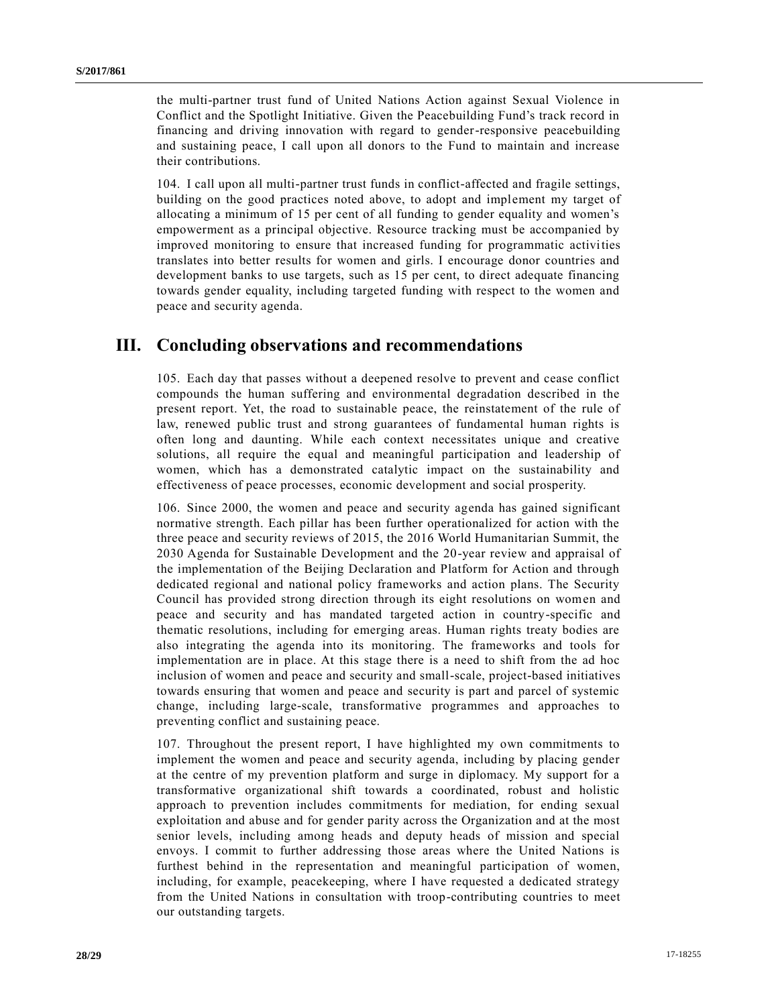the multi-partner trust fund of United Nations Action against Sexual Violence in Conflict and the Spotlight Initiative. Given the Peacebuilding Fund's track record in financing and driving innovation with regard to gender-responsive peacebuilding and sustaining peace, I call upon all donors to the Fund to maintain and increase their contributions.

104. I call upon all multi-partner trust funds in conflict-affected and fragile settings, building on the good practices noted above, to adopt and implement my target of allocating a minimum of 15 per cent of all funding to gender equality and women's empowerment as a principal objective. Resource tracking must be accompanied by improved monitoring to ensure that increased funding for programmatic activities translates into better results for women and girls. I encourage donor countries and development banks to use targets, such as 15 per cent, to direct adequate financing towards gender equality, including targeted funding with respect to the women and peace and security agenda.

# **III. Concluding observations and recommendations**

105. Each day that passes without a deepened resolve to prevent and cease conflict compounds the human suffering and environmental degradation described in the present report. Yet, the road to sustainable peace, the reinstatement of the rule of law, renewed public trust and strong guarantees of fundamental human rights is often long and daunting. While each context necessitates unique and creative solutions, all require the equal and meaningful participation and leadership of women, which has a demonstrated catalytic impact on the sustainability and effectiveness of peace processes, economic development and social prosperity.

106. Since 2000, the women and peace and security agenda has gained significant normative strength. Each pillar has been further operationalized for action with the three peace and security reviews of 2015, the 2016 World Humanitarian Summit, the 2030 Agenda for Sustainable Development and the 20-year review and appraisal of the implementation of the Beijing Declaration and Platform for Action and through dedicated regional and national policy frameworks and action plans. The Security Council has provided strong direction through its eight resolutions on women and peace and security and has mandated targeted action in country-specific and thematic resolutions, including for emerging areas. Human rights treaty bodies are also integrating the agenda into its monitoring. The frameworks and tools for implementation are in place. At this stage there is a need to shift from the ad hoc inclusion of women and peace and security and small-scale, project-based initiatives towards ensuring that women and peace and security is part and parcel of systemic change, including large-scale, transformative programmes and approaches to preventing conflict and sustaining peace.

107. Throughout the present report, I have highlighted my own commitments to implement the women and peace and security agenda, including by placing gender at the centre of my prevention platform and surge in diplomacy. My support for a transformative organizational shift towards a coordinated, robust and holistic approach to prevention includes commitments for mediation, for ending sexual exploitation and abuse and for gender parity across the Organization and at the most senior levels, including among heads and deputy heads of mission and special envoys. I commit to further addressing those areas where the United Nations is furthest behind in the representation and meaningful participation of women, including, for example, peacekeeping, where I have requested a dedicated strategy from the United Nations in consultation with troop-contributing countries to meet our outstanding targets.